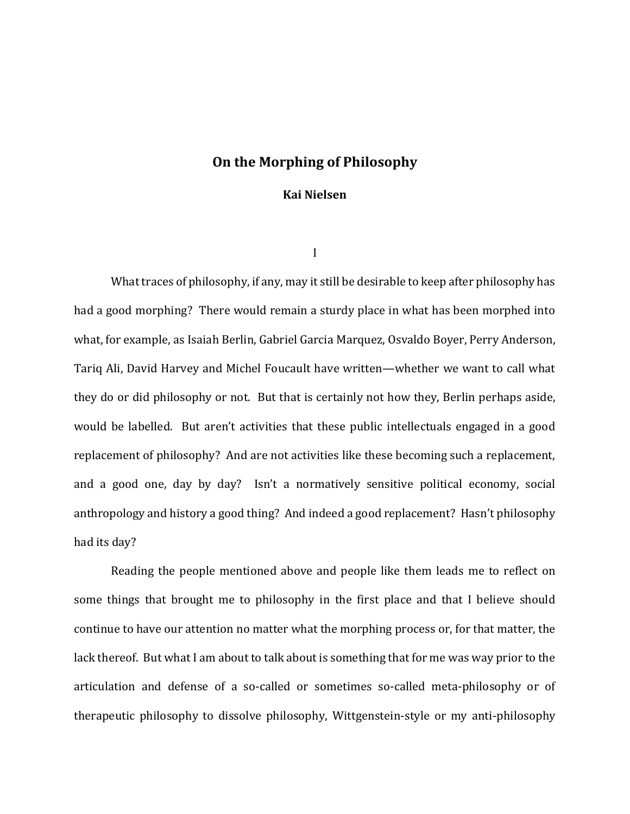# **On the Morphing of Philosophy**

### **Kai Nielsen**

I

What traces of philosophy, if any, may it still be desirable to keep after philosophy has had a good morphing? There would remain a sturdy place in what has been morphed into what, for example, as Isaiah Berlin, Gabriel Garcia Marquez, Osvaldo Boyer, Perry Anderson, Tariq Ali, David Harvey and Michel Foucault have written—whether we want to call what they do or did philosophy or not. But that is certainly not how they, Berlin perhaps aside, would be labelled. But aren't activities that these public intellectuals engaged in a good replacement of philosophy? And are not activities like these becoming such a replacement, and a good one, day by day? Isn't a normatively sensitive political economy, social anthropology and history a good thing? And indeed a good replacement? Hasn't philosophy had its day?

Reading the people mentioned above and people like them leads me to reflect on some things that brought me to philosophy in the first place and that I believe should continue to have our attention no matter what the morphing process or, for that matter, the lack thereof. But what I am about to talk about is something that for me was way prior to the articulation and defense of a so-called or sometimes so-called meta-philosophy or of therapeutic philosophy to dissolve philosophy, Wittgenstein-style or my anti-philosophy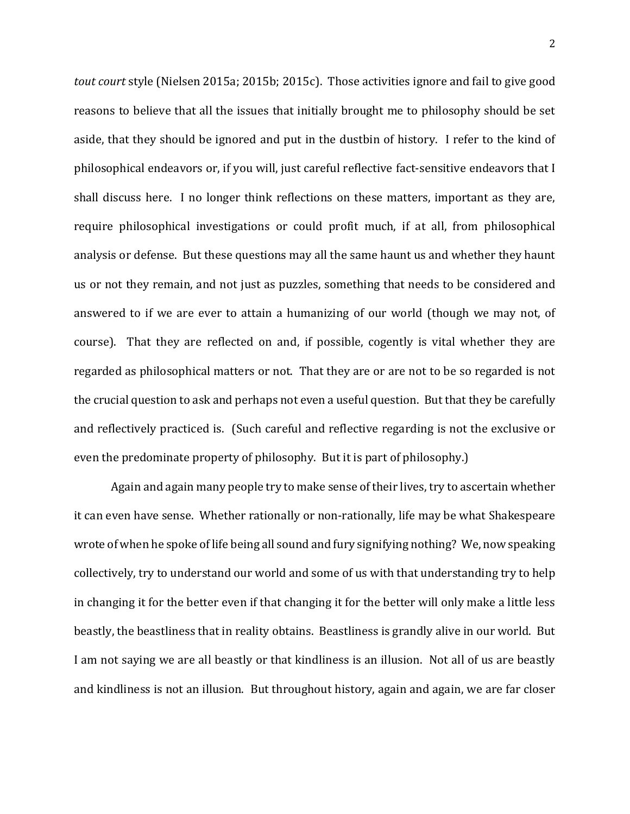*tout court* style (Nielsen 2015a; 2015b; 2015c). Those activities ignore and fail to give good reasons to believe that all the issues that initially brought me to philosophy should be set aside, that they should be ignored and put in the dustbin of history. I refer to the kind of philosophical endeavors or, if you will, just careful reflective fact-sensitive endeavors that I shall discuss here. I no longer think reflections on these matters, important as they are, require philosophical investigations or could profit much, if at all, from philosophical analysis or defense. But these questions may all the same haunt us and whether they haunt us or not they remain, and not just as puzzles, something that needs to be considered and answered to if we are ever to attain a humanizing of our world (though we may not, of course). That they are reflected on and, if possible, cogently is vital whether they are regarded as philosophical matters or not. That they are or are not to be so regarded is not the crucial question to ask and perhaps not even a useful question. But that they be carefully and reflectively practiced is. (Such careful and reflective regarding is not the exclusive or even the predominate property of philosophy. But it is part of philosophy.)

Again and again many people try to make sense of their lives, try to ascertain whether it can even have sense. Whether rationally or non-rationally, life may be what Shakespeare wrote of when he spoke of life being all sound and fury signifying nothing? We, now speaking collectively, try to understand our world and some of us with that understanding try to help in changing it for the better even if that changing it for the better will only make a little less beastly, the beastliness that in reality obtains. Beastliness is grandly alive in our world. But I am not saying we are all beastly or that kindliness is an illusion. Not all of us are beastly and kindliness is not an illusion. But throughout history, again and again, we are far closer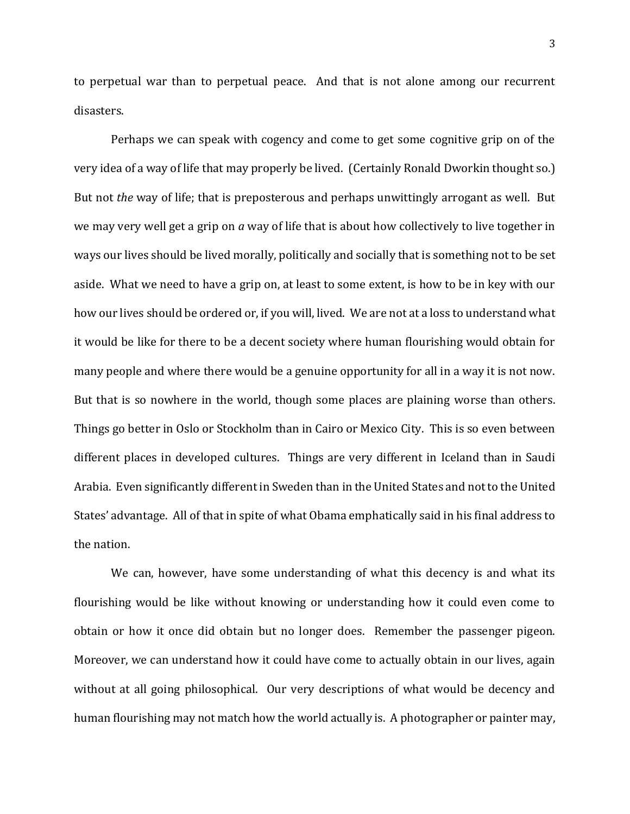to perpetual war than to perpetual peace. And that is not alone among our recurrent disasters.

Perhaps we can speak with cogency and come to get some cognitive grip on of the very idea of a way of life that may properly be lived. (Certainly Ronald Dworkin thought so.) But not *the* way of life; that is preposterous and perhaps unwittingly arrogant as well. But we may very well get a grip on *a* way of life that is about how collectively to live together in ways our lives should be lived morally, politically and socially that is something not to be set aside. What we need to have a grip on, at least to some extent, is how to be in key with our how our lives should be ordered or, if you will, lived. We are not at a loss to understand what it would be like for there to be a decent society where human flourishing would obtain for many people and where there would be a genuine opportunity for all in a way it is not now. But that is so nowhere in the world, though some places are plaining worse than others. Things go better in Oslo or Stockholm than in Cairo or Mexico City. This is so even between different places in developed cultures. Things are very different in Iceland than in Saudi Arabia. Even significantly different in Sweden than in the United States and not to the United States' advantage. All of that in spite of what Obama emphatically said in his final address to the nation.

We can, however, have some understanding of what this decency is and what its flourishing would be like without knowing or understanding how it could even come to obtain or how it once did obtain but no longer does. Remember the passenger pigeon. Moreover, we can understand how it could have come to actually obtain in our lives, again without at all going philosophical. Our very descriptions of what would be decency and human flourishing may not match how the world actually is. A photographer or painter may,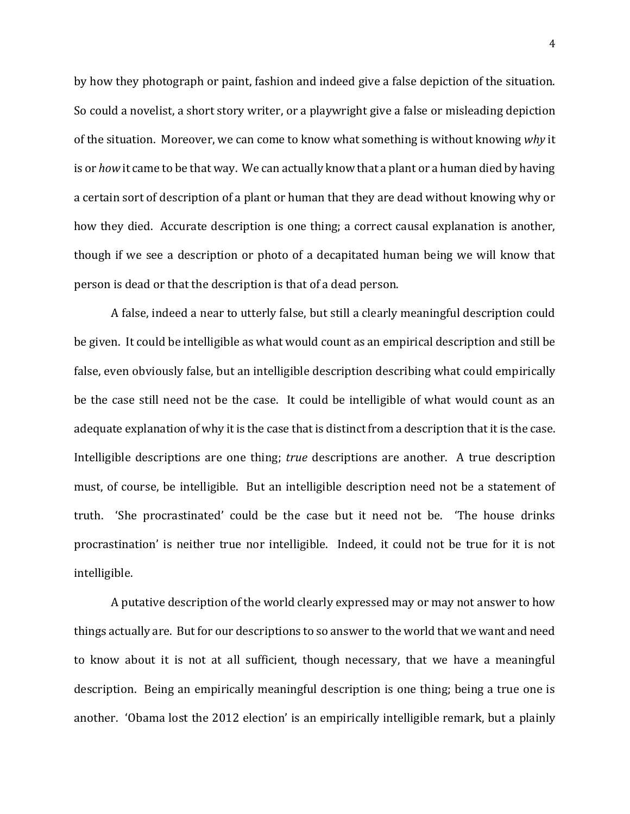by how they photograph or paint, fashion and indeed give a false depiction of the situation. So could a novelist, a short story writer, or a playwright give a false or misleading depiction of the situation. Moreover, we can come to know what something is without knowing *why* it is or *how* it came to be that way. We can actually know that a plant or a human died by having a certain sort of description of a plant or human that they are dead without knowing why or how they died. Accurate description is one thing; a correct causal explanation is another, though if we see a description or photo of a decapitated human being we will know that person is dead or that the description is that of a dead person.

A false, indeed a near to utterly false, but still a clearly meaningful description could be given. It could be intelligible as what would count as an empirical description and still be false, even obviously false, but an intelligible description describing what could empirically be the case still need not be the case. It could be intelligible of what would count as an adequate explanation of why it is the case that is distinct from a description that it is the case. Intelligible descriptions are one thing; *true* descriptions are another. A true description must, of course, be intelligible. But an intelligible description need not be a statement of truth. 'She procrastinated' could be the case but it need not be. 'The house drinks procrastination' is neither true nor intelligible. Indeed, it could not be true for it is not intelligible.

A putative description of the world clearly expressed may or may not answer to how things actually are. But for our descriptions to so answer to the world that we want and need to know about it is not at all sufficient, though necessary, that we have a meaningful description. Being an empirically meaningful description is one thing; being a true one is another. 'Obama lost the 2012 election' is an empirically intelligible remark, but a plainly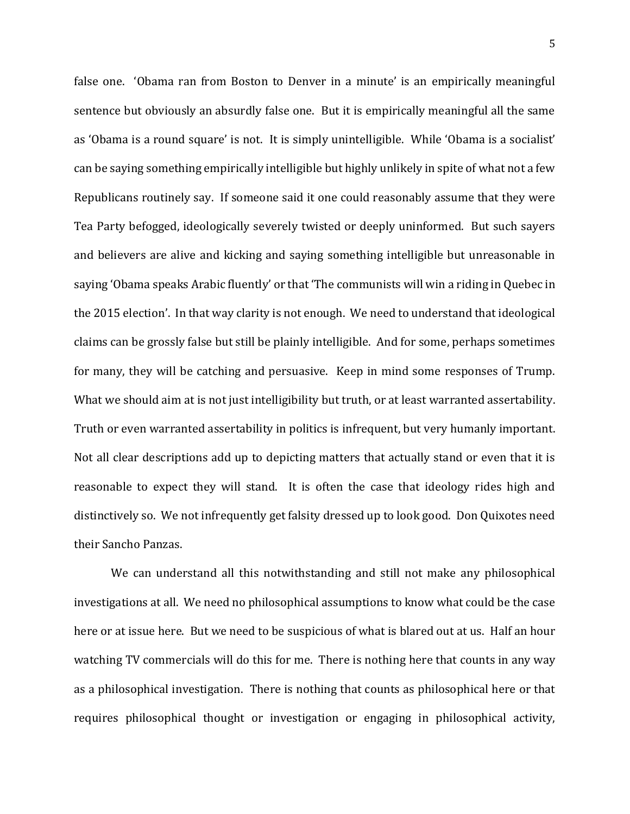false one. 'Obama ran from Boston to Denver in a minute' is an empirically meaningful sentence but obviously an absurdly false one. But it is empirically meaningful all the same as 'Obama is a round square' is not. It is simply unintelligible. While 'Obama is a socialist' can be saying something empirically intelligible but highly unlikely in spite of what not a few Republicans routinely say. If someone said it one could reasonably assume that they were Tea Party befogged, ideologically severely twisted or deeply uninformed. But such sayers and believers are alive and kicking and saying something intelligible but unreasonable in saying 'Obama speaks Arabic fluently' or that 'The communists will win a riding in Quebec in the 2015 election'. In that way clarity is not enough. We need to understand that ideological claims can be grossly false but still be plainly intelligible. And for some, perhaps sometimes for many, they will be catching and persuasive. Keep in mind some responses of Trump. What we should aim at is not just intelligibility but truth, or at least warranted assertability. Truth or even warranted assertability in politics is infrequent, but very humanly important. Not all clear descriptions add up to depicting matters that actually stand or even that it is reasonable to expect they will stand. It is often the case that ideology rides high and distinctively so. We not infrequently get falsity dressed up to look good. Don Quixotes need their Sancho Panzas.

We can understand all this notwithstanding and still not make any philosophical investigations at all. We need no philosophical assumptions to know what could be the case here or at issue here. But we need to be suspicious of what is blared out at us. Half an hour watching TV commercials will do this for me. There is nothing here that counts in any way as a philosophical investigation. There is nothing that counts as philosophical here or that requires philosophical thought or investigation or engaging in philosophical activity,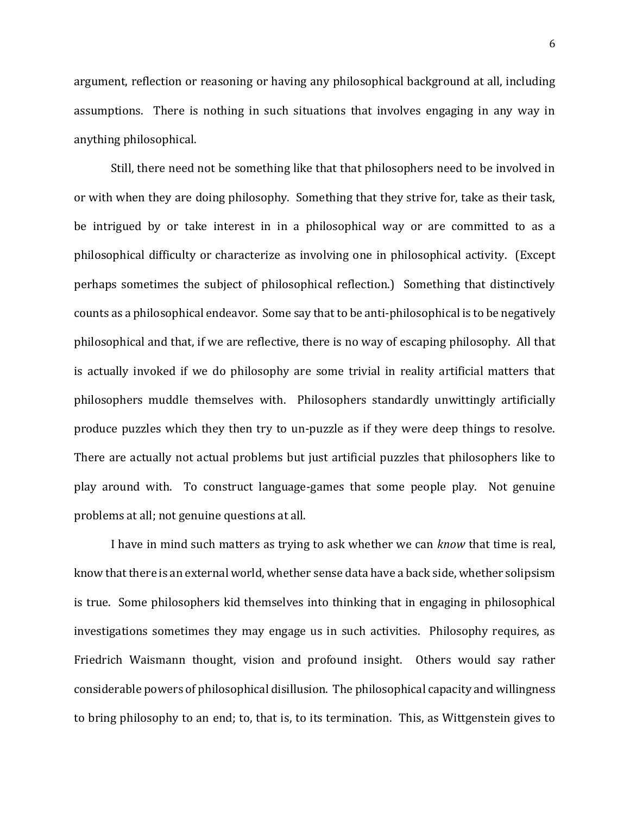argument, reflection or reasoning or having any philosophical background at all, including assumptions. There is nothing in such situations that involves engaging in any way in anything philosophical.

Still, there need not be something like that that philosophers need to be involved in or with when they are doing philosophy. Something that they strive for, take as their task, be intrigued by or take interest in in a philosophical way or are committed to as a philosophical difficulty or characterize as involving one in philosophical activity. (Except perhaps sometimes the subject of philosophical reflection.) Something that distinctively counts as a philosophical endeavor. Some say that to be anti-philosophical is to be negatively philosophical and that, if we are reflective, there is no way of escaping philosophy. All that is actually invoked if we do philosophy are some trivial in reality artificial matters that philosophers muddle themselves with. Philosophers standardly unwittingly artificially produce puzzles which they then try to un-puzzle as if they were deep things to resolve. There are actually not actual problems but just artificial puzzles that philosophers like to play around with. To construct language-games that some people play. Not genuine problems at all; not genuine questions at all.

I have in mind such matters as trying to ask whether we can *know* that time is real, know that there is an external world, whether sense data have a back side, whether solipsism is true. Some philosophers kid themselves into thinking that in engaging in philosophical investigations sometimes they may engage us in such activities. Philosophy requires, as Friedrich Waismann thought, vision and profound insight. Others would say rather considerable powers of philosophical disillusion. The philosophical capacity and willingness to bring philosophy to an end; to, that is, to its termination. This, as Wittgenstein gives to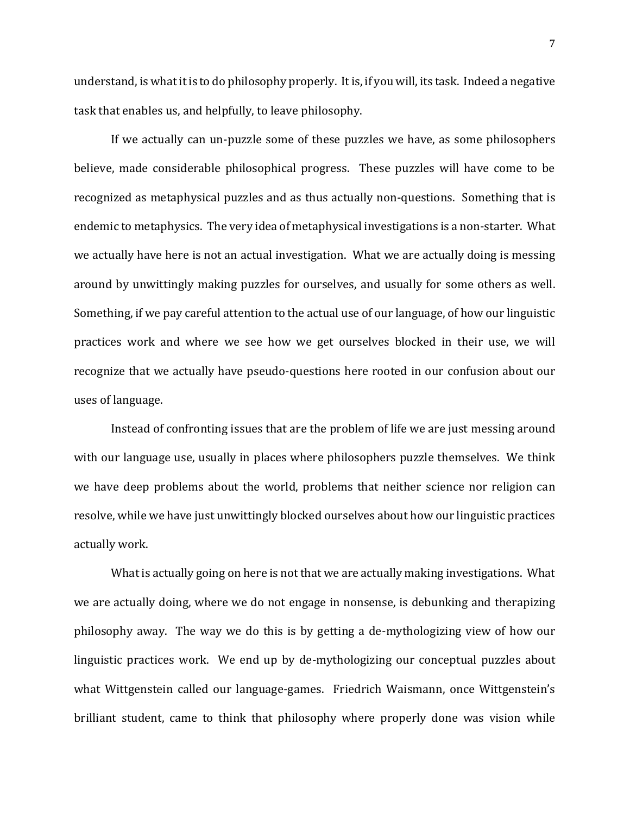understand, is what it is to do philosophy properly. It is, if you will, its task. Indeed a negative task that enables us, and helpfully, to leave philosophy.

If we actually can un-puzzle some of these puzzles we have, as some philosophers believe, made considerable philosophical progress. These puzzles will have come to be recognized as metaphysical puzzles and as thus actually non-questions. Something that is endemic to metaphysics. The very idea of metaphysical investigations is a non-starter. What we actually have here is not an actual investigation. What we are actually doing is messing around by unwittingly making puzzles for ourselves, and usually for some others as well. Something, if we pay careful attention to the actual use of our language, of how our linguistic practices work and where we see how we get ourselves blocked in their use, we will recognize that we actually have pseudo-questions here rooted in our confusion about our uses of language.

Instead of confronting issues that are the problem of life we are just messing around with our language use, usually in places where philosophers puzzle themselves. We think we have deep problems about the world, problems that neither science nor religion can resolve, while we have just unwittingly blocked ourselves about how our linguistic practices actually work.

What is actually going on here is not that we are actually making investigations. What we are actually doing, where we do not engage in nonsense, is debunking and therapizing philosophy away. The way we do this is by getting a de-mythologizing view of how our linguistic practices work. We end up by de-mythologizing our conceptual puzzles about what Wittgenstein called our language-games. Friedrich Waismann, once Wittgenstein's brilliant student, came to think that philosophy where properly done was vision while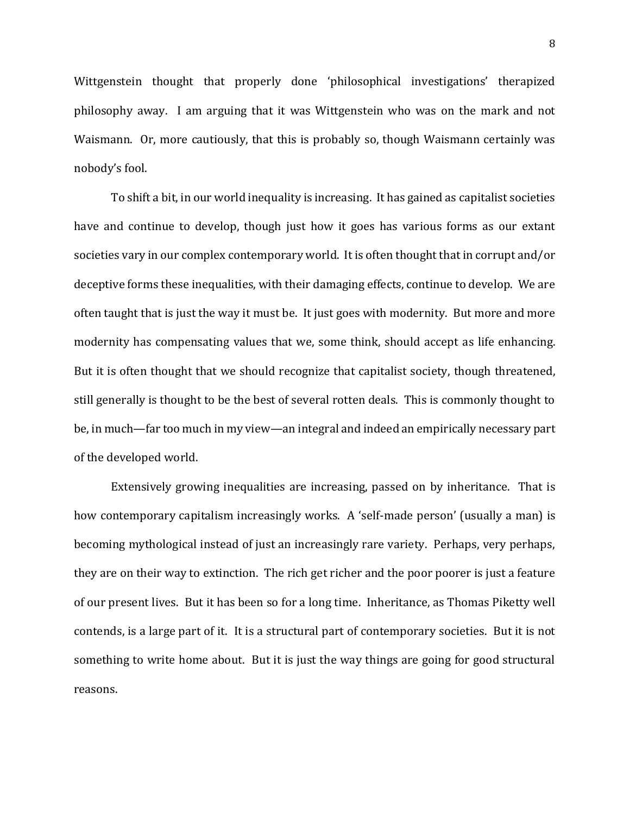Wittgenstein thought that properly done 'philosophical investigations' therapized philosophy away. I am arguing that it was Wittgenstein who was on the mark and not Waismann. Or, more cautiously, that this is probably so, though Waismann certainly was nobody's fool.

To shift a bit, in our world inequality is increasing. It has gained as capitalist societies have and continue to develop, though just how it goes has various forms as our extant societies vary in our complex contemporary world. It is often thought that in corrupt and/or deceptive forms these inequalities, with their damaging effects, continue to develop. We are often taught that is just the way it must be. It just goes with modernity. But more and more modernity has compensating values that we, some think, should accept as life enhancing. But it is often thought that we should recognize that capitalist society, though threatened, still generally is thought to be the best of several rotten deals. This is commonly thought to be, in much—far too much in my view—an integral and indeed an empirically necessary part of the developed world.

Extensively growing inequalities are increasing, passed on by inheritance. That is how contemporary capitalism increasingly works. A 'self-made person' (usually a man) is becoming mythological instead of just an increasingly rare variety. Perhaps, very perhaps, they are on their way to extinction. The rich get richer and the poor poorer is just a feature of our present lives. But it has been so for a long time. Inheritance, as Thomas Piketty well contends, is a large part of it. It is a structural part of contemporary societies. But it is not something to write home about. But it is just the way things are going for good structural reasons.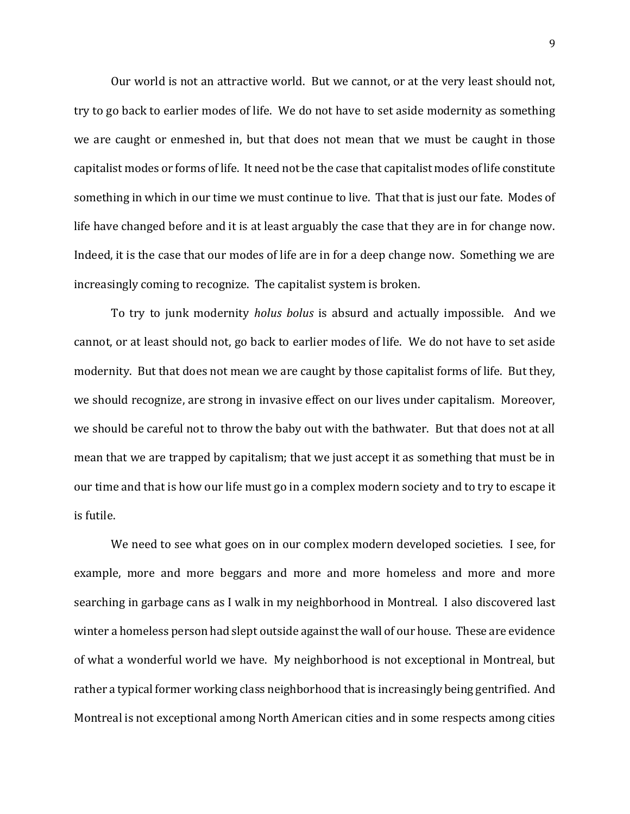Our world is not an attractive world. But we cannot, or at the very least should not, try to go back to earlier modes of life. We do not have to set aside modernity as something we are caught or enmeshed in, but that does not mean that we must be caught in those capitalist modes or forms of life. It need not be the case that capitalist modes of life constitute something in which in our time we must continue to live. That that is just our fate. Modes of life have changed before and it is at least arguably the case that they are in for change now. Indeed, it is the case that our modes of life are in for a deep change now. Something we are increasingly coming to recognize. The capitalist system is broken.

To try to junk modernity *holus bolus* is absurd and actually impossible. And we cannot, or at least should not, go back to earlier modes of life. We do not have to set aside modernity. But that does not mean we are caught by those capitalist forms of life. But they, we should recognize, are strong in invasive effect on our lives under capitalism. Moreover, we should be careful not to throw the baby out with the bathwater. But that does not at all mean that we are trapped by capitalism; that we just accept it as something that must be in our time and that is how our life must go in a complex modern society and to try to escape it is futile.

We need to see what goes on in our complex modern developed societies. I see, for example, more and more beggars and more and more homeless and more and more searching in garbage cans as I walk in my neighborhood in Montreal. I also discovered last winter a homeless person had slept outside against the wall of our house. These are evidence of what a wonderful world we have. My neighborhood is not exceptional in Montreal, but rather a typical former working class neighborhood that is increasingly being gentrified. And Montreal is not exceptional among North American cities and in some respects among cities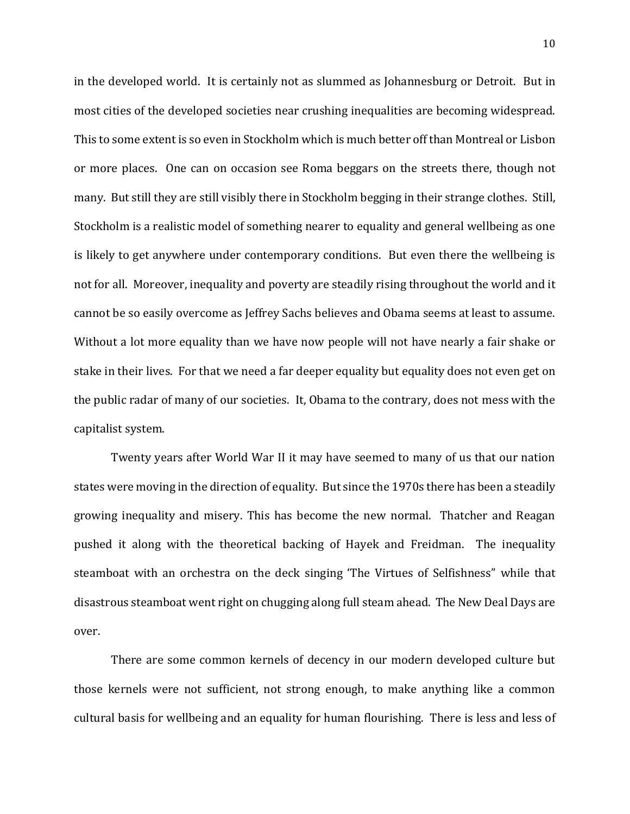in the developed world. It is certainly not as slummed as Johannesburg or Detroit. But in most cities of the developed societies near crushing inequalities are becoming widespread. This to some extent is so even in Stockholm which is much better off than Montreal or Lisbon or more places. One can on occasion see Roma beggars on the streets there, though not many. But still they are still visibly there in Stockholm begging in their strange clothes. Still, Stockholm is a realistic model of something nearer to equality and general wellbeing as one is likely to get anywhere under contemporary conditions. But even there the wellbeing is not for all. Moreover, inequality and poverty are steadily rising throughout the world and it cannot be so easily overcome as Jeffrey Sachs believes and Obama seems at least to assume. Without a lot more equality than we have now people will not have nearly a fair shake or stake in their lives. For that we need a far deeper equality but equality does not even get on the public radar of many of our societies. It, Obama to the contrary, does not mess with the capitalist system.

Twenty years after World War II it may have seemed to many of us that our nation states were moving in the direction of equality. But since the 1970s there has been a steadily growing inequality and misery. This has become the new normal. Thatcher and Reagan pushed it along with the theoretical backing of Hayek and Freidman. The inequality steamboat with an orchestra on the deck singing 'The Virtues of Selfishness" while that disastrous steamboat went right on chugging along full steam ahead. The New Deal Days are over.

There are some common kernels of decency in our modern developed culture but those kernels were not sufficient, not strong enough, to make anything like a common cultural basis for wellbeing and an equality for human flourishing. There is less and less of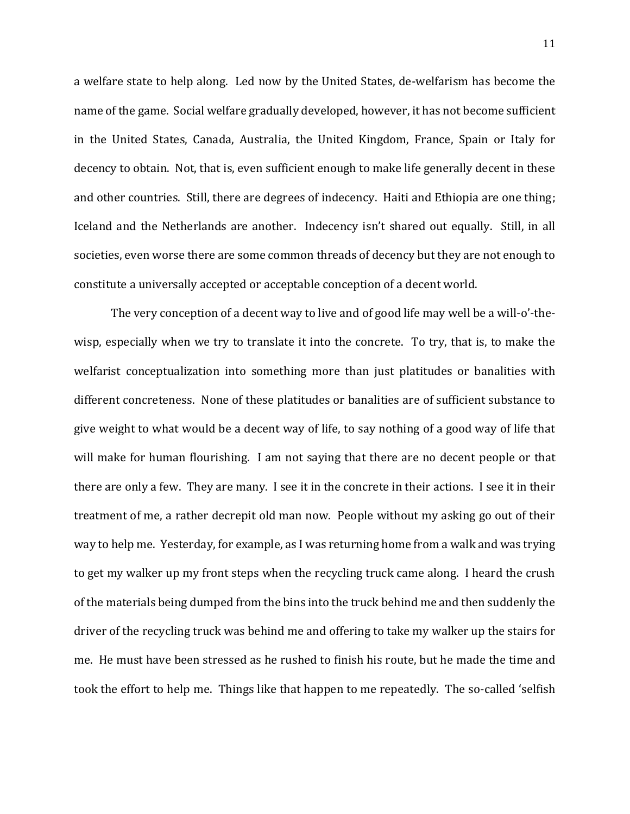a welfare state to help along. Led now by the United States, de-welfarism has become the name of the game. Social welfare gradually developed, however, it has not become sufficient in the United States, Canada, Australia, the United Kingdom, France, Spain or Italy for decency to obtain. Not, that is, even sufficient enough to make life generally decent in these and other countries. Still, there are degrees of indecency. Haiti and Ethiopia are one thing; Iceland and the Netherlands are another. Indecency isn't shared out equally. Still, in all societies, even worse there are some common threads of decency but they are not enough to constitute a universally accepted or acceptable conception of a decent world.

The very conception of a decent way to live and of good life may well be a will-o'-thewisp, especially when we try to translate it into the concrete. To try, that is, to make the welfarist conceptualization into something more than just platitudes or banalities with different concreteness. None of these platitudes or banalities are of sufficient substance to give weight to what would be a decent way of life, to say nothing of a good way of life that will make for human flourishing. I am not saying that there are no decent people or that there are only a few. They are many. I see it in the concrete in their actions. I see it in their treatment of me, a rather decrepit old man now. People without my asking go out of their way to help me. Yesterday, for example, as I was returning home from a walk and was trying to get my walker up my front steps when the recycling truck came along. I heard the crush of the materials being dumped from the bins into the truck behind me and then suddenly the driver of the recycling truck was behind me and offering to take my walker up the stairs for me. He must have been stressed as he rushed to finish his route, but he made the time and took the effort to help me. Things like that happen to me repeatedly. The so-called 'selfish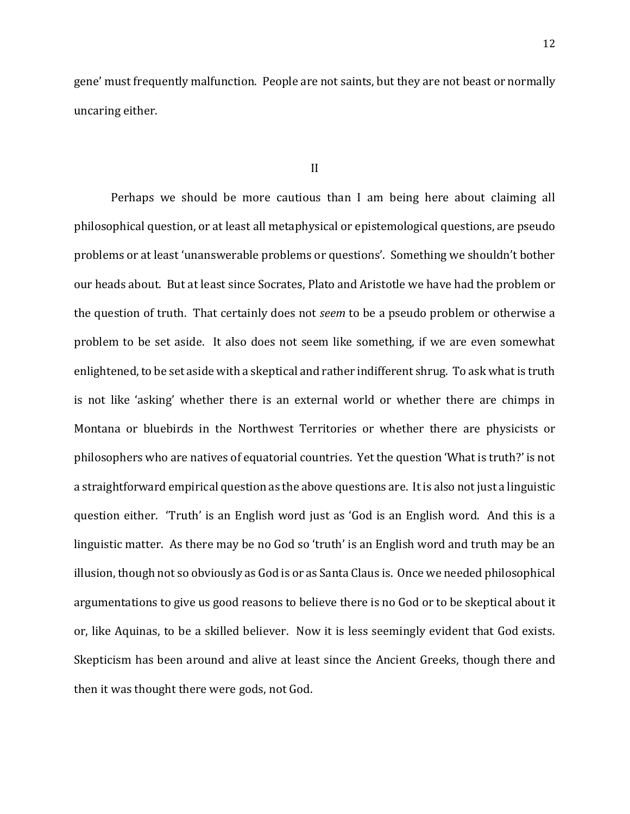gene' must frequently malfunction. People are not saints, but they are not beast or normally uncaring either.

Perhaps we should be more cautious than I am being here about claiming all philosophical question, or at least all metaphysical or epistemological questions, are pseudo problems or at least 'unanswerable problems or questions'. Something we shouldn't bother our heads about. But at least since Socrates, Plato and Aristotle we have had the problem or the question of truth. That certainly does not *seem* to be a pseudo problem or otherwise a problem to be set aside. It also does not seem like something, if we are even somewhat enlightened, to be set aside with a skeptical and rather indifferent shrug. To ask what is truth is not like 'asking' whether there is an external world or whether there are chimps in Montana or bluebirds in the Northwest Territories or whether there are physicists or philosophers who are natives of equatorial countries. Yet the question 'What is truth?' is not a straightforward empirical question as the above questions are. It is also not just a linguistic question either. 'Truth' is an English word just as 'God is an English word. And this is a linguistic matter. As there may be no God so 'truth' is an English word and truth may be an illusion, though not so obviously as God is or as Santa Claus is. Once we needed philosophical argumentations to give us good reasons to believe there is no God or to be skeptical about it or, like Aquinas, to be a skilled believer. Now it is less seemingly evident that God exists. Skepticism has been around and alive at least since the Ancient Greeks, though there and then it was thought there were gods, not God.

II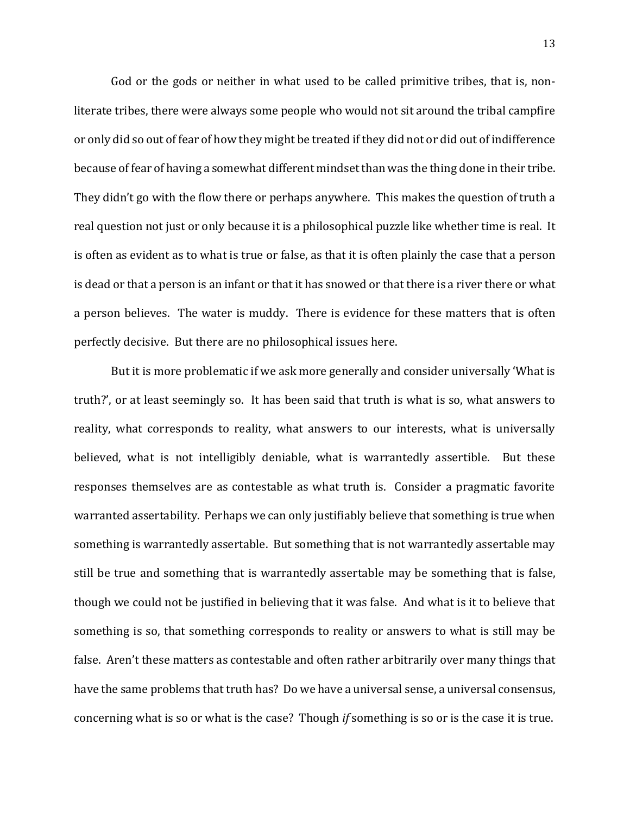God or the gods or neither in what used to be called primitive tribes, that is, nonliterate tribes, there were always some people who would not sit around the tribal campfire or only did so out of fear of how they might be treated if they did not or did out of indifference because of fear of having a somewhat different mindset than was the thing done in their tribe. They didn't go with the flow there or perhaps anywhere. This makes the question of truth a real question not just or only because it is a philosophical puzzle like whether time is real. It is often as evident as to what is true or false, as that it is often plainly the case that a person is dead or that a person is an infant or that it has snowed or that there is a river there or what a person believes. The water is muddy. There is evidence for these matters that is often perfectly decisive. But there are no philosophical issues here.

But it is more problematic if we ask more generally and consider universally 'What is truth?', or at least seemingly so. It has been said that truth is what is so, what answers to reality, what corresponds to reality, what answers to our interests, what is universally believed, what is not intelligibly deniable, what is warrantedly assertible. But these responses themselves are as contestable as what truth is. Consider a pragmatic favorite warranted assertability. Perhaps we can only justifiably believe that something is true when something is warrantedly assertable. But something that is not warrantedly assertable may still be true and something that is warrantedly assertable may be something that is false, though we could not be justified in believing that it was false. And what is it to believe that something is so, that something corresponds to reality or answers to what is still may be false. Aren't these matters as contestable and often rather arbitrarily over many things that have the same problems that truth has? Do we have a universal sense, a universal consensus, concerning what is so or what is the case? Though *if* something is so or is the case it is true.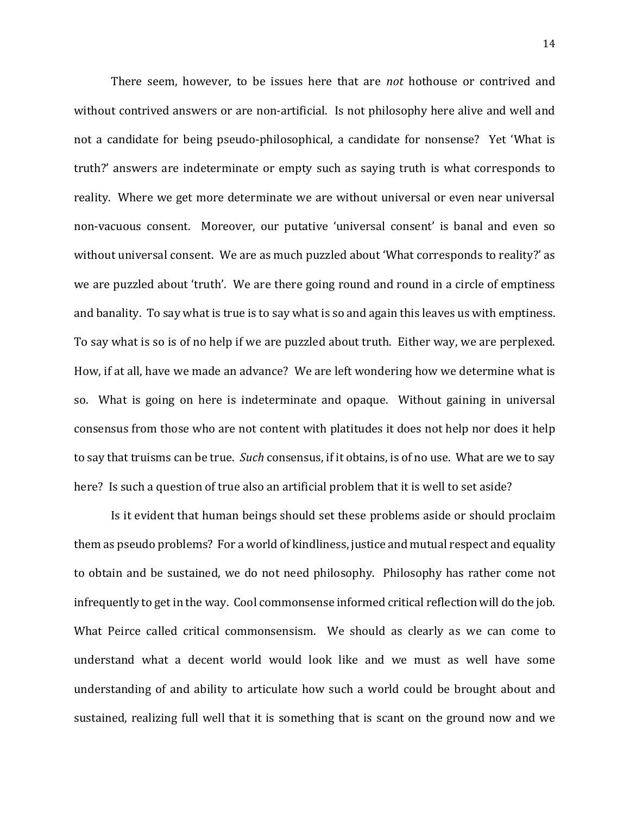There seem, however, to be issues here that are *not* hothouse or contrived and without contrived answers or are non-artificial. Is not philosophy here alive and well and not a candidate for being pseudo-philosophical, a candidate for nonsense? Yet 'What is truth?' answers are indeterminate or empty such as saying truth is what corresponds to reality. Where we get more determinate we are without universal or even near universal non-vacuous consent. Moreover, our putative 'universal consent' is banal and even so without universal consent. We are as much puzzled about 'What corresponds to reality?' as we are puzzled about 'truth'. We are there going round and round in a circle of emptiness and banality. To say what is true is to say what is so and again this leaves us with emptiness. To say what is so is of no help if we are puzzled about truth. Either way, we are perplexed. How, if at all, have we made an advance? We are left wondering how we determine what is so. What is going on here is indeterminate and opaque. Without gaining in universal consensus from those who are not content with platitudes it does not help nor does it help to say that truisms can be true. *Such* consensus, if it obtains, is of no use. What are we to say here? Is such a question of true also an artificial problem that it is well to set aside?

Is it evident that human beings should set these problems aside or should proclaim them as pseudo problems? For a world of kindliness, justice and mutual respect and equality to obtain and be sustained, we do not need philosophy. Philosophy has rather come not infrequently to get in the way. Cool commonsense informed critical reflection will do the job. What Peirce called critical commonsensism. We should as clearly as we can come to understand what a decent world would look like and we must as well have some understanding of and ability to articulate how such a world could be brought about and sustained, realizing full well that it is something that is scant on the ground now and we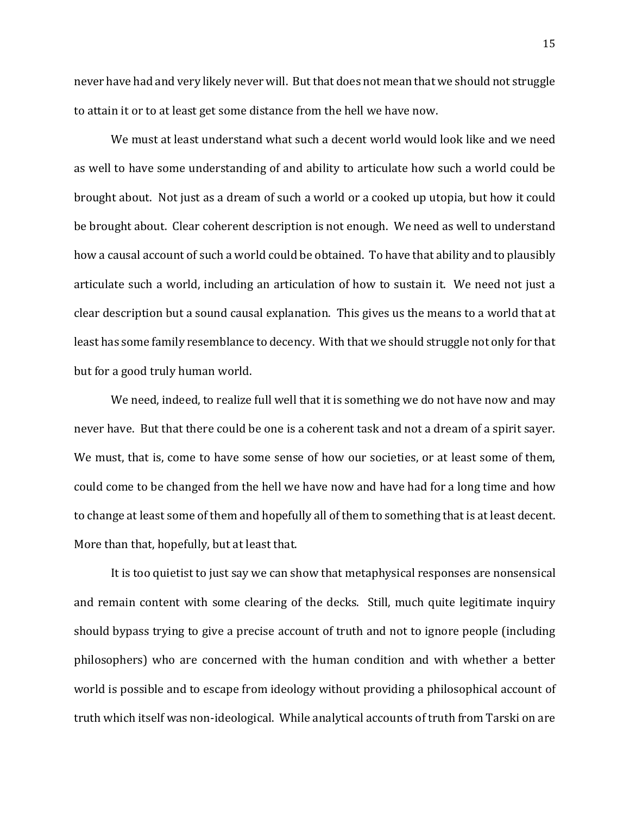never have had and very likely never will. But that does not mean that we should not struggle to attain it or to at least get some distance from the hell we have now.

We must at least understand what such a decent world would look like and we need as well to have some understanding of and ability to articulate how such a world could be brought about. Not just as a dream of such a world or a cooked up utopia, but how it could be brought about. Clear coherent description is not enough. We need as well to understand how a causal account of such a world could be obtained. To have that ability and to plausibly articulate such a world, including an articulation of how to sustain it. We need not just a clear description but a sound causal explanation. This gives us the means to a world that at least has some family resemblance to decency. With that we should struggle not only for that but for a good truly human world.

We need, indeed, to realize full well that it is something we do not have now and may never have. But that there could be one is a coherent task and not a dream of a spirit sayer. We must, that is, come to have some sense of how our societies, or at least some of them, could come to be changed from the hell we have now and have had for a long time and how to change at least some of them and hopefully all of them to something that is at least decent. More than that, hopefully, but at least that.

It is too quietist to just say we can show that metaphysical responses are nonsensical and remain content with some clearing of the decks. Still, much quite legitimate inquiry should bypass trying to give a precise account of truth and not to ignore people (including philosophers) who are concerned with the human condition and with whether a better world is possible and to escape from ideology without providing a philosophical account of truth which itself was non-ideological. While analytical accounts of truth from Tarski on are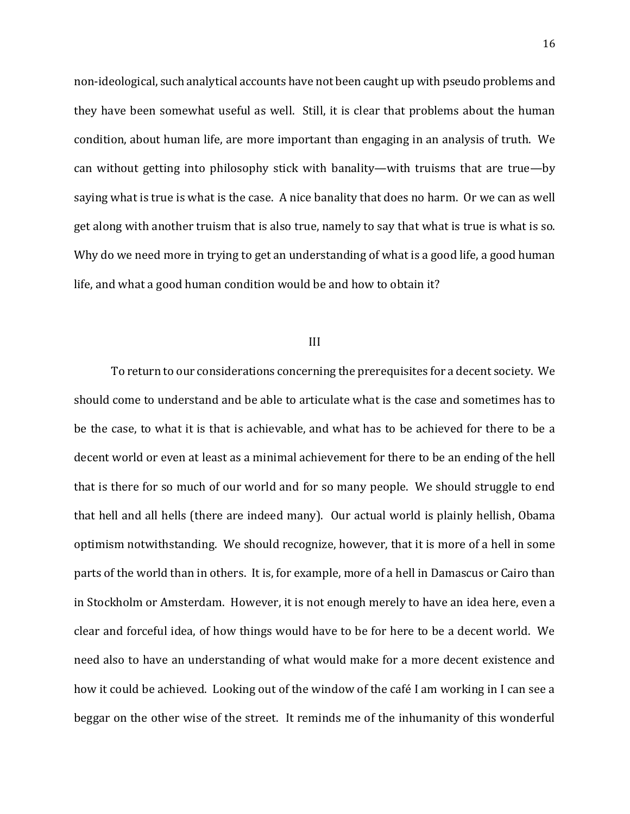non-ideological, such analytical accounts have not been caught up with pseudo problems and they have been somewhat useful as well. Still, it is clear that problems about the human condition, about human life, are more important than engaging in an analysis of truth. We can without getting into philosophy stick with banality—with truisms that are true—by saying what is true is what is the case. A nice banality that does no harm. Or we can as well get along with another truism that is also true, namely to say that what is true is what is so. Why do we need more in trying to get an understanding of what is a good life, a good human life, and what a good human condition would be and how to obtain it?

#### III

To return to our considerations concerning the prerequisites for a decent society. We should come to understand and be able to articulate what is the case and sometimes has to be the case, to what it is that is achievable, and what has to be achieved for there to be a decent world or even at least as a minimal achievement for there to be an ending of the hell that is there for so much of our world and for so many people. We should struggle to end that hell and all hells (there are indeed many). Our actual world is plainly hellish, Obama optimism notwithstanding. We should recognize, however, that it is more of a hell in some parts of the world than in others. It is, for example, more of a hell in Damascus or Cairo than in Stockholm or Amsterdam. However, it is not enough merely to have an idea here, even a clear and forceful idea, of how things would have to be for here to be a decent world. We need also to have an understanding of what would make for a more decent existence and how it could be achieved. Looking out of the window of the café I am working in I can see a beggar on the other wise of the street. It reminds me of the inhumanity of this wonderful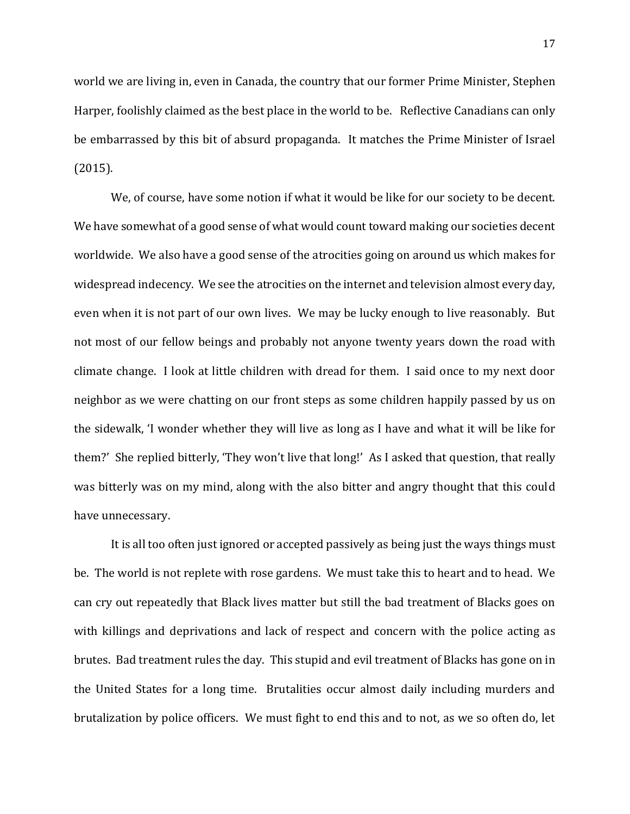world we are living in, even in Canada, the country that our former Prime Minister, Stephen Harper, foolishly claimed as the best place in the world to be. Reflective Canadians can only be embarrassed by this bit of absurd propaganda. It matches the Prime Minister of Israel (2015).

We, of course, have some notion if what it would be like for our society to be decent. We have somewhat of a good sense of what would count toward making our societies decent worldwide. We also have a good sense of the atrocities going on around us which makes for widespread indecency. We see the atrocities on the internet and television almost every day, even when it is not part of our own lives. We may be lucky enough to live reasonably. But not most of our fellow beings and probably not anyone twenty years down the road with climate change. I look at little children with dread for them. I said once to my next door neighbor as we were chatting on our front steps as some children happily passed by us on the sidewalk, 'I wonder whether they will live as long as I have and what it will be like for them?' She replied bitterly, 'They won't live that long!' As I asked that question, that really was bitterly was on my mind, along with the also bitter and angry thought that this could have unnecessary.

It is all too often just ignored or accepted passively as being just the ways things must be. The world is not replete with rose gardens. We must take this to heart and to head. We can cry out repeatedly that Black lives matter but still the bad treatment of Blacks goes on with killings and deprivations and lack of respect and concern with the police acting as brutes. Bad treatment rules the day. This stupid and evil treatment of Blacks has gone on in the United States for a long time. Brutalities occur almost daily including murders and brutalization by police officers. We must fight to end this and to not, as we so often do, let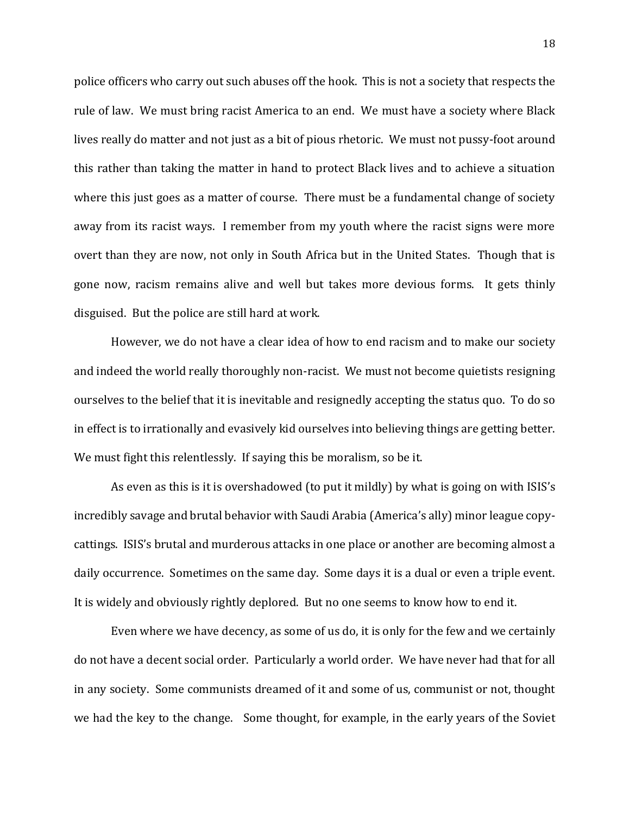police officers who carry out such abuses off the hook. This is not a society that respects the rule of law. We must bring racist America to an end. We must have a society where Black lives really do matter and not just as a bit of pious rhetoric. We must not pussy-foot around this rather than taking the matter in hand to protect Black lives and to achieve a situation where this just goes as a matter of course. There must be a fundamental change of society away from its racist ways. I remember from my youth where the racist signs were more overt than they are now, not only in South Africa but in the United States. Though that is gone now, racism remains alive and well but takes more devious forms. It gets thinly disguised. But the police are still hard at work.

However, we do not have a clear idea of how to end racism and to make our society and indeed the world really thoroughly non-racist. We must not become quietists resigning ourselves to the belief that it is inevitable and resignedly accepting the status quo. To do so in effect is to irrationally and evasively kid ourselves into believing things are getting better. We must fight this relentlessly. If saying this be moralism, so be it.

As even as this is it is overshadowed (to put it mildly) by what is going on with ISIS's incredibly savage and brutal behavior with Saudi Arabia (America's ally) minor league copycattings. ISIS's brutal and murderous attacks in one place or another are becoming almost a daily occurrence. Sometimes on the same day. Some days it is a dual or even a triple event. It is widely and obviously rightly deplored. But no one seems to know how to end it.

Even where we have decency, as some of us do, it is only for the few and we certainly do not have a decent social order. Particularly a world order. We have never had that for all in any society. Some communists dreamed of it and some of us, communist or not, thought we had the key to the change. Some thought, for example, in the early years of the Soviet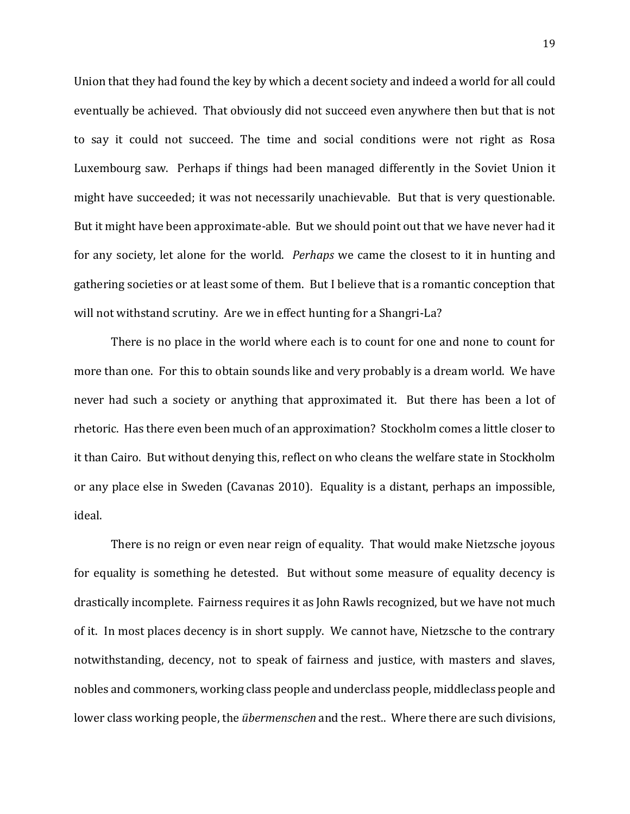Union that they had found the key by which a decent society and indeed a world for all could eventually be achieved. That obviously did not succeed even anywhere then but that is not to say it could not succeed. The time and social conditions were not right as Rosa Luxembourg saw. Perhaps if things had been managed differently in the Soviet Union it might have succeeded; it was not necessarily unachievable. But that is very questionable. But it might have been approximate-able. But we should point out that we have never had it for any society, let alone for the world. *Perhaps* we came the closest to it in hunting and gathering societies or at least some of them. But I believe that is a romantic conception that will not withstand scrutiny. Are we in effect hunting for a Shangri-La?

There is no place in the world where each is to count for one and none to count for more than one. For this to obtain sounds like and very probably is a dream world. We have never had such a society or anything that approximated it. But there has been a lot of rhetoric. Has there even been much of an approximation? Stockholm comes a little closer to it than Cairo. But without denying this, reflect on who cleans the welfare state in Stockholm or any place else in Sweden (Cavanas 2010). Equality is a distant, perhaps an impossible, ideal.

There is no reign or even near reign of equality. That would make Nietzsche joyous for equality is something he detested. But without some measure of equality decency is drastically incomplete. Fairness requires it as John Rawls recognized, but we have not much of it. In most places decency is in short supply. We cannot have, Nietzsche to the contrary notwithstanding, decency, not to speak of fairness and justice, with masters and slaves, nobles and commoners, working class people and underclass people, middleclass people and lower class working people, the *übermenschen* and the rest.. Where there are such divisions,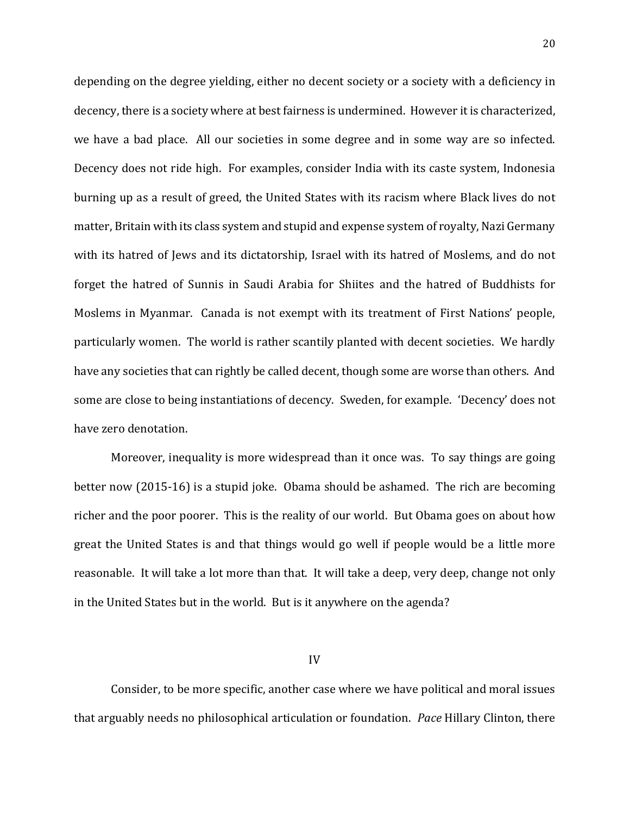depending on the degree yielding, either no decent society or a society with a deficiency in decency, there is a society where at best fairness is undermined. However it is characterized, we have a bad place. All our societies in some degree and in some way are so infected. Decency does not ride high. For examples, consider India with its caste system, Indonesia burning up as a result of greed, the United States with its racism where Black lives do not matter, Britain with its class system and stupid and expense system of royalty, Nazi Germany with its hatred of Jews and its dictatorship, Israel with its hatred of Moslems, and do not forget the hatred of Sunnis in Saudi Arabia for Shiites and the hatred of Buddhists for Moslems in Myanmar. Canada is not exempt with its treatment of First Nations' people, particularly women. The world is rather scantily planted with decent societies. We hardly have any societies that can rightly be called decent, though some are worse than others. And some are close to being instantiations of decency. Sweden, for example. 'Decency' does not have zero denotation.

Moreover, inequality is more widespread than it once was. To say things are going better now (2015-16) is a stupid joke. Obama should be ashamed. The rich are becoming richer and the poor poorer. This is the reality of our world. But Obama goes on about how great the United States is and that things would go well if people would be a little more reasonable. It will take a lot more than that. It will take a deep, very deep, change not only in the United States but in the world. But is it anywhere on the agenda?

IV

Consider, to be more specific, another case where we have political and moral issues that arguably needs no philosophical articulation or foundation. *Pace* Hillary Clinton, there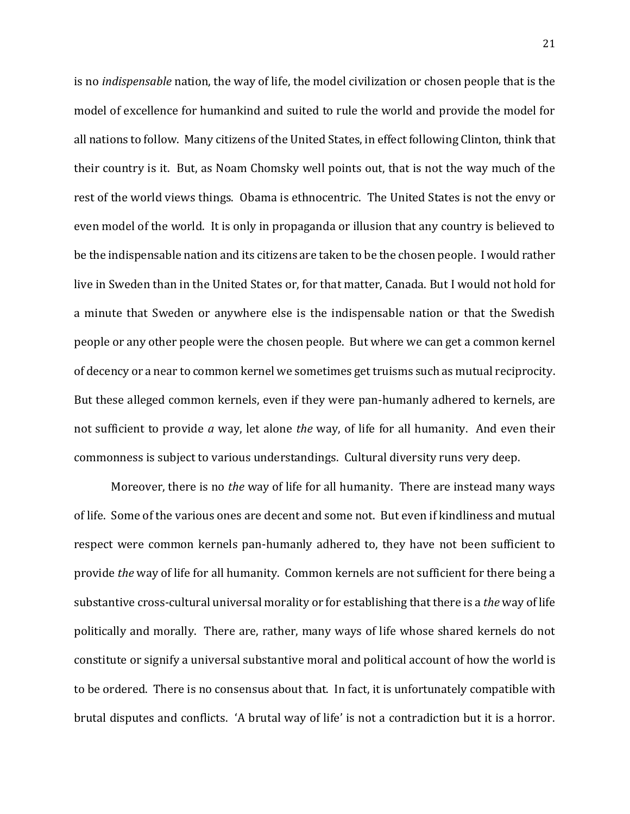is no *indispensable* nation, the way of life, the model civilization or chosen people that is the model of excellence for humankind and suited to rule the world and provide the model for all nations to follow. Many citizens of the United States, in effect following Clinton, think that their country is it. But, as Noam Chomsky well points out, that is not the way much of the rest of the world views things. Obama is ethnocentric. The United States is not the envy or even model of the world. It is only in propaganda or illusion that any country is believed to be the indispensable nation and its citizens are taken to be the chosen people. I would rather live in Sweden than in the United States or, for that matter, Canada. But I would not hold for a minute that Sweden or anywhere else is the indispensable nation or that the Swedish people or any other people were the chosen people. But where we can get a common kernel of decency or a near to common kernel we sometimes get truisms such as mutual reciprocity. But these alleged common kernels, even if they were pan-humanly adhered to kernels, are not sufficient to provide *a* way, let alone *the* way, of life for all humanity. And even their commonness is subject to various understandings. Cultural diversity runs very deep.

Moreover, there is no *the* way of life for all humanity. There are instead many ways of life. Some of the various ones are decent and some not. But even if kindliness and mutual respect were common kernels pan-humanly adhered to, they have not been sufficient to provide *the* way of life for all humanity. Common kernels are not sufficient for there being a substantive cross-cultural universal morality or for establishing that there is a *the* way of life politically and morally. There are, rather, many ways of life whose shared kernels do not constitute or signify a universal substantive moral and political account of how the world is to be ordered. There is no consensus about that. In fact, it is unfortunately compatible with brutal disputes and conflicts. 'A brutal way of life' is not a contradiction but it is a horror.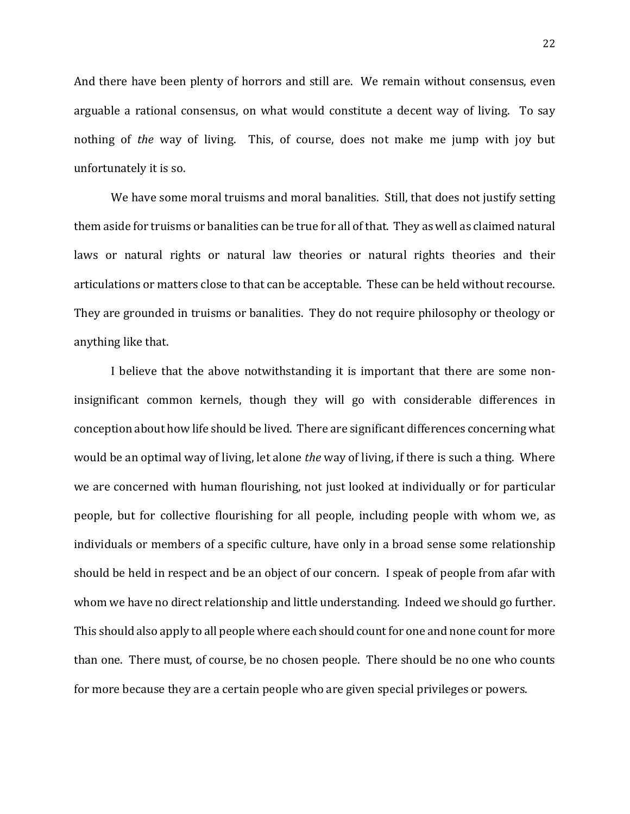And there have been plenty of horrors and still are. We remain without consensus, even arguable a rational consensus, on what would constitute a decent way of living. To say nothing of *the* way of living. This, of course, does not make me jump with joy but unfortunately it is so.

We have some moral truisms and moral banalities. Still, that does not justify setting them aside for truisms or banalities can be true for all of that. They as well as claimed natural laws or natural rights or natural law theories or natural rights theories and their articulations or matters close to that can be acceptable. These can be held without recourse. They are grounded in truisms or banalities. They do not require philosophy or theology or anything like that.

I believe that the above notwithstanding it is important that there are some noninsignificant common kernels, though they will go with considerable differences in conception about how life should be lived. There are significant differences concerning what would be an optimal way of living, let alone *the* way of living, if there is such a thing. Where we are concerned with human flourishing, not just looked at individually or for particular people, but for collective flourishing for all people, including people with whom we, as individuals or members of a specific culture, have only in a broad sense some relationship should be held in respect and be an object of our concern. I speak of people from afar with whom we have no direct relationship and little understanding. Indeed we should go further. This should also apply to all people where each should count for one and none count for more than one. There must, of course, be no chosen people. There should be no one who counts for more because they are a certain people who are given special privileges or powers.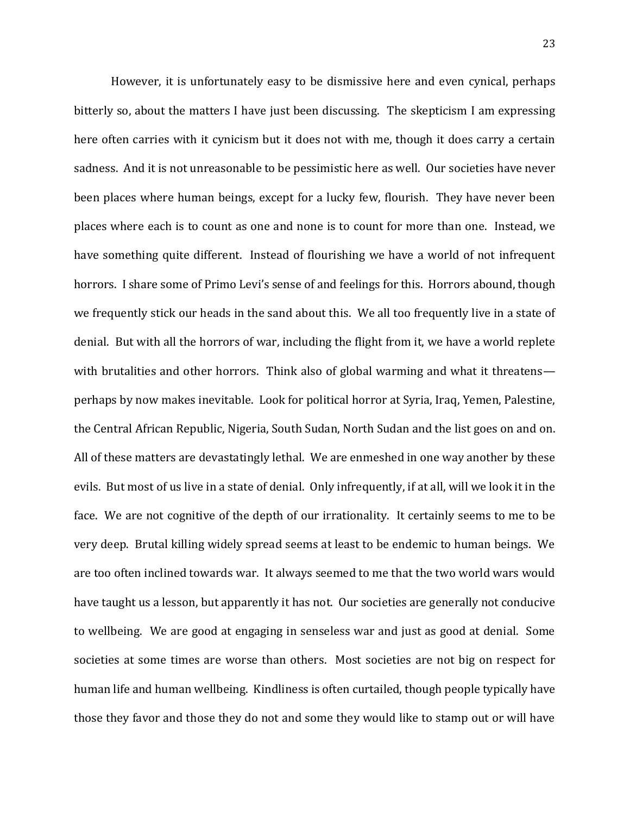However, it is unfortunately easy to be dismissive here and even cynical, perhaps bitterly so, about the matters I have just been discussing. The skepticism I am expressing here often carries with it cynicism but it does not with me, though it does carry a certain sadness. And it is not unreasonable to be pessimistic here as well. Our societies have never been places where human beings, except for a lucky few, flourish. They have never been places where each is to count as one and none is to count for more than one. Instead, we have something quite different. Instead of flourishing we have a world of not infrequent horrors. I share some of Primo Levi's sense of and feelings for this. Horrors abound, though we frequently stick our heads in the sand about this. We all too frequently live in a state of denial. But with all the horrors of war, including the flight from it, we have a world replete with brutalities and other horrors. Think also of global warming and what it threatens perhaps by now makes inevitable. Look for political horror at Syria, Iraq, Yemen, Palestine, the Central African Republic, Nigeria, South Sudan, North Sudan and the list goes on and on. All of these matters are devastatingly lethal. We are enmeshed in one way another by these evils. But most of us live in a state of denial. Only infrequently, if at all, will we look it in the face. We are not cognitive of the depth of our irrationality. It certainly seems to me to be very deep. Brutal killing widely spread seems at least to be endemic to human beings. We are too often inclined towards war. It always seemed to me that the two world wars would have taught us a lesson, but apparently it has not. Our societies are generally not conducive to wellbeing. We are good at engaging in senseless war and just as good at denial. Some societies at some times are worse than others. Most societies are not big on respect for human life and human wellbeing. Kindliness is often curtailed, though people typically have those they favor and those they do not and some they would like to stamp out or will have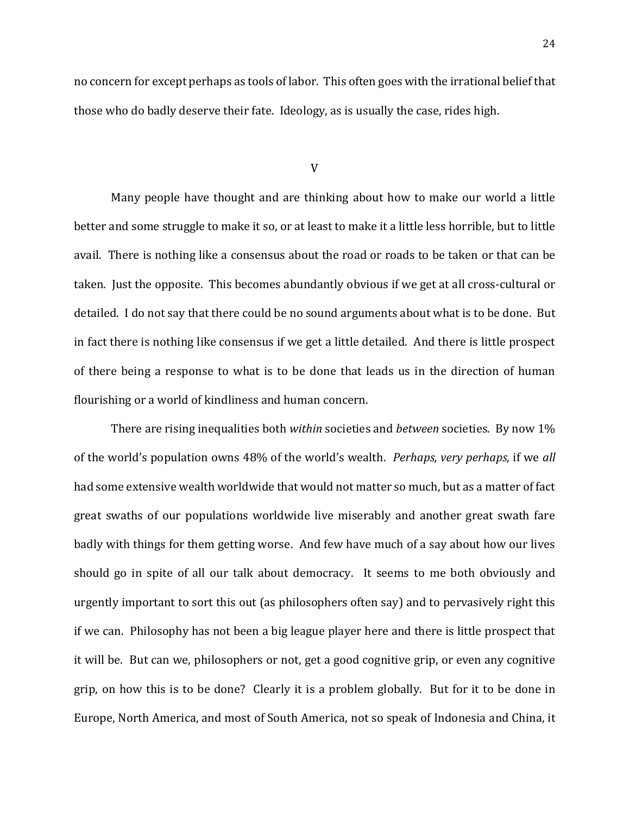no concern for except perhaps as tools of labor. This often goes with the irrational belief that those who do badly deserve their fate. Ideology, as is usually the case, rides high.

#### V

Many people have thought and are thinking about how to make our world a little better and some struggle to make it so, or at least to make it a little less horrible, but to little avail. There is nothing like a consensus about the road or roads to be taken or that can be taken. Just the opposite. This becomes abundantly obvious if we get at all cross-cultural or detailed. I do not say that there could be no sound arguments about what is to be done. But in fact there is nothing like consensus if we get a little detailed. And there is little prospect of there being a response to what is to be done that leads us in the direction of human flourishing or a world of kindliness and human concern.

There are rising inequalities both *within* societies and *between* societies. By now 1% of the world's population owns 48% of the world's wealth. *Perhaps, very perhaps,* if we *all* had some extensive wealth worldwide that would not matter so much, but as a matter of fact great swaths of our populations worldwide live miserably and another great swath fare badly with things for them getting worse. And few have much of a say about how our lives should go in spite of all our talk about democracy. It seems to me both obviously and urgently important to sort this out (as philosophers often say) and to pervasively right this if we can. Philosophy has not been a big league player here and there is little prospect that it will be. But can we, philosophers or not, get a good cognitive grip, or even any cognitive grip, on how this is to be done? Clearly it is a problem globally. But for it to be done in Europe, North America, and most of South America, not so speak of Indonesia and China, it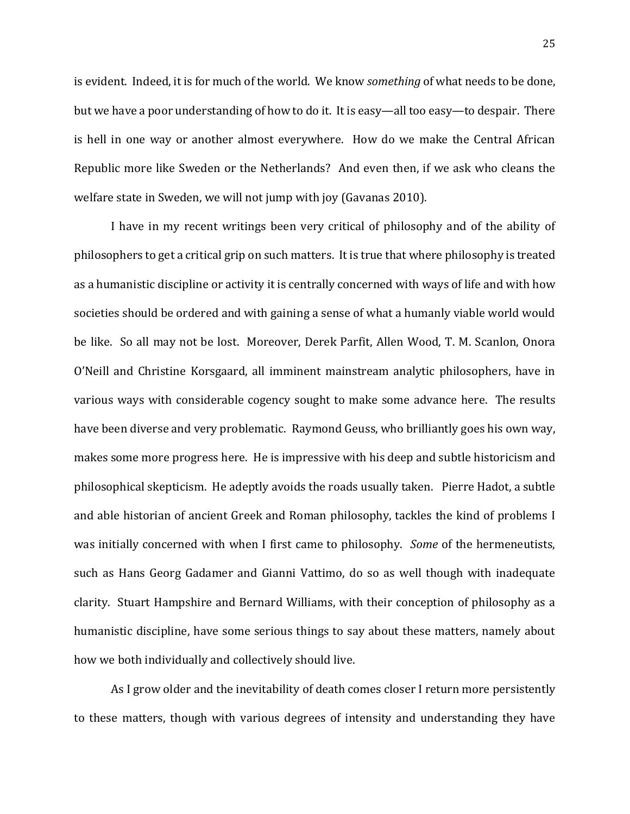is evident. Indeed, it is for much of the world. We know *something* of what needs to be done, but we have a poor understanding of how to do it. It is easy—all too easy—to despair. There is hell in one way or another almost everywhere. How do we make the Central African Republic more like Sweden or the Netherlands? And even then, if we ask who cleans the welfare state in Sweden, we will not jump with joy (Gavanas 2010).

I have in my recent writings been very critical of philosophy and of the ability of philosophers to get a critical grip on such matters. It is true that where philosophy is treated as a humanistic discipline or activity it is centrally concerned with ways of life and with how societies should be ordered and with gaining a sense of what a humanly viable world would be like. So all may not be lost. Moreover, Derek Parfit, Allen Wood, T. M. Scanlon, Onora O'Neill and Christine Korsgaard, all imminent mainstream analytic philosophers, have in various ways with considerable cogency sought to make some advance here. The results have been diverse and very problematic. Raymond Geuss, who brilliantly goes his own way, makes some more progress here. He is impressive with his deep and subtle historicism and philosophical skepticism. He adeptly avoids the roads usually taken. Pierre Hadot, a subtle and able historian of ancient Greek and Roman philosophy, tackles the kind of problems I was initially concerned with when I first came to philosophy. *Some* of the hermeneutists, such as Hans Georg Gadamer and Gianni Vattimo, do so as well though with inadequate clarity. Stuart Hampshire and Bernard Williams, with their conception of philosophy as a humanistic discipline, have some serious things to say about these matters, namely about how we both individually and collectively should live.

As I grow older and the inevitability of death comes closer I return more persistently to these matters, though with various degrees of intensity and understanding they have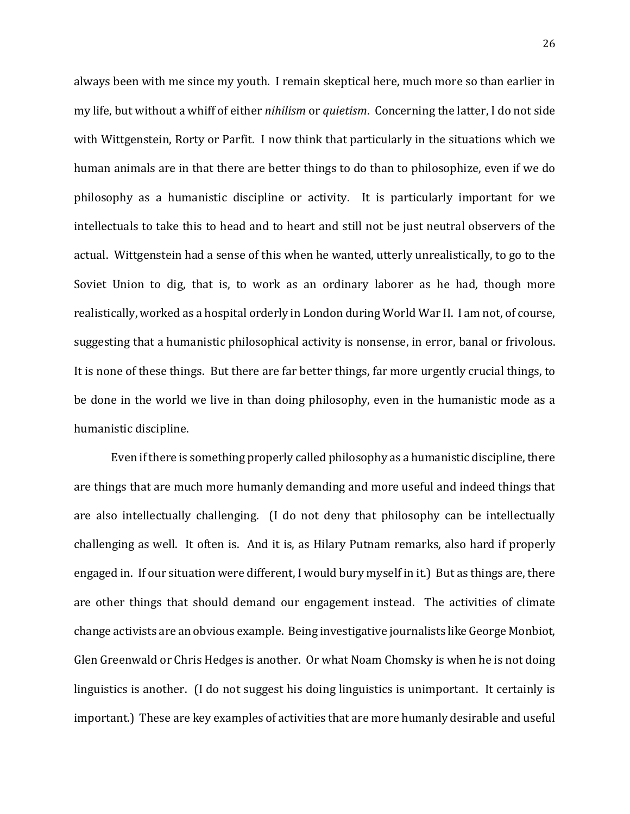always been with me since my youth. I remain skeptical here, much more so than earlier in my life, but without a whiff of either *nihilism* or *quietism*. Concerning the latter, I do not side with Wittgenstein, Rorty or Parfit. I now think that particularly in the situations which we human animals are in that there are better things to do than to philosophize, even if we do philosophy as a humanistic discipline or activity. It is particularly important for we intellectuals to take this to head and to heart and still not be just neutral observers of the actual. Wittgenstein had a sense of this when he wanted, utterly unrealistically, to go to the Soviet Union to dig, that is, to work as an ordinary laborer as he had, though more realistically, worked as a hospital orderly in London during World War II. I am not, of course, suggesting that a humanistic philosophical activity is nonsense, in error, banal or frivolous. It is none of these things. But there are far better things, far more urgently crucial things, to be done in the world we live in than doing philosophy, even in the humanistic mode as a humanistic discipline.

Even if there is something properly called philosophy as a humanistic discipline, there are things that are much more humanly demanding and more useful and indeed things that are also intellectually challenging. (I do not deny that philosophy can be intellectually challenging as well. It often is. And it is, as Hilary Putnam remarks, also hard if properly engaged in. If our situation were different, I would bury myself in it.) But as things are, there are other things that should demand our engagement instead. The activities of climate change activists are an obvious example. Being investigative journalists like George Monbiot, Glen Greenwald or Chris Hedges is another. Or what Noam Chomsky is when he is not doing linguistics is another. (I do not suggest his doing linguistics is unimportant. It certainly is important.) These are key examples of activities that are more humanly desirable and useful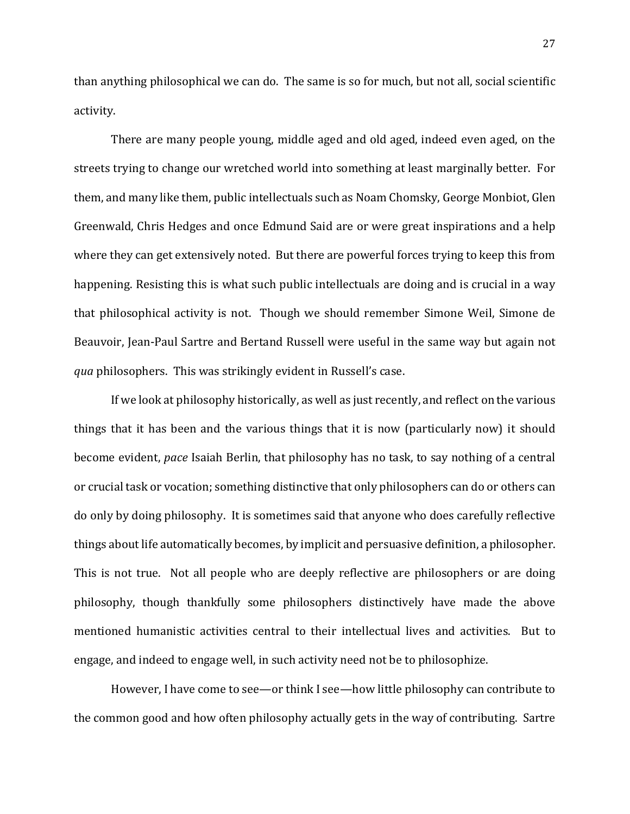than anything philosophical we can do. The same is so for much, but not all, social scientific activity.

There are many people young, middle aged and old aged, indeed even aged, on the streets trying to change our wretched world into something at least marginally better. For them, and many like them, public intellectuals such as Noam Chomsky, George Monbiot, Glen Greenwald, Chris Hedges and once Edmund Said are or were great inspirations and a help where they can get extensively noted. But there are powerful forces trying to keep this from happening. Resisting this is what such public intellectuals are doing and is crucial in a way that philosophical activity is not. Though we should remember Simone Weil, Simone de Beauvoir, Jean-Paul Sartre and Bertand Russell were useful in the same way but again not *qua* philosophers. This was strikingly evident in Russell's case.

If we look at philosophy historically, as well as just recently, and reflect on the various things that it has been and the various things that it is now (particularly now) it should become evident, *pace* Isaiah Berlin, that philosophy has no task, to say nothing of a central or crucial task or vocation; something distinctive that only philosophers can do or others can do only by doing philosophy. It is sometimes said that anyone who does carefully reflective things about life automatically becomes, by implicit and persuasive definition, a philosopher. This is not true. Not all people who are deeply reflective are philosophers or are doing philosophy, though thankfully some philosophers distinctively have made the above mentioned humanistic activities central to their intellectual lives and activities. But to engage, and indeed to engage well, in such activity need not be to philosophize.

However, I have come to see—or think I see—how little philosophy can contribute to the common good and how often philosophy actually gets in the way of contributing. Sartre

27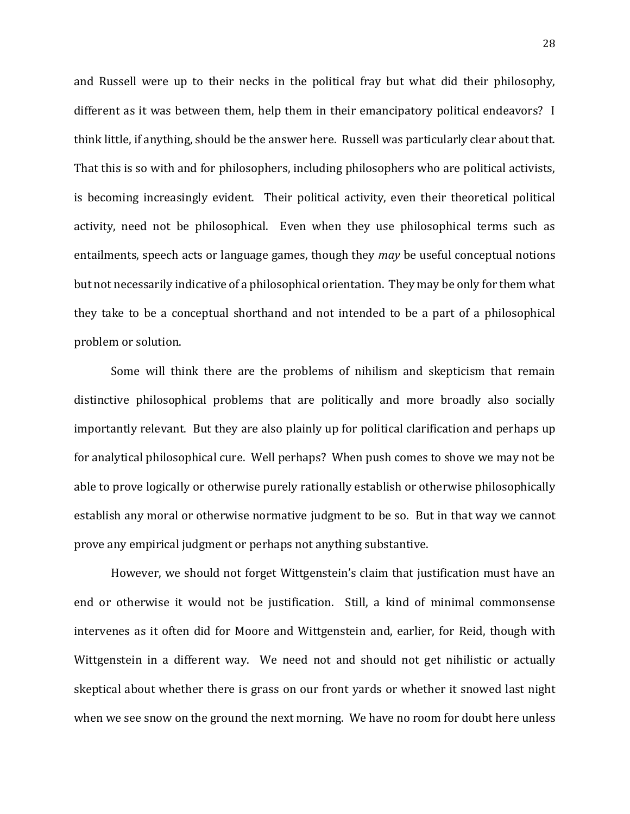and Russell were up to their necks in the political fray but what did their philosophy, different as it was between them, help them in their emancipatory political endeavors? I think little, if anything, should be the answer here. Russell was particularly clear about that. That this is so with and for philosophers, including philosophers who are political activists, is becoming increasingly evident. Their political activity, even their theoretical political activity, need not be philosophical. Even when they use philosophical terms such as entailments, speech acts or language games, though they *may* be useful conceptual notions but not necessarily indicative of a philosophical orientation. They may be only for them what they take to be a conceptual shorthand and not intended to be a part of a philosophical problem or solution.

Some will think there are the problems of nihilism and skepticism that remain distinctive philosophical problems that are politically and more broadly also socially importantly relevant. But they are also plainly up for political clarification and perhaps up for analytical philosophical cure. Well perhaps? When push comes to shove we may not be able to prove logically or otherwise purely rationally establish or otherwise philosophically establish any moral or otherwise normative judgment to be so. But in that way we cannot prove any empirical judgment or perhaps not anything substantive.

However, we should not forget Wittgenstein's claim that justification must have an end or otherwise it would not be justification. Still, a kind of minimal commonsense intervenes as it often did for Moore and Wittgenstein and, earlier, for Reid, though with Wittgenstein in a different way. We need not and should not get nihilistic or actually skeptical about whether there is grass on our front yards or whether it snowed last night when we see snow on the ground the next morning. We have no room for doubt here unless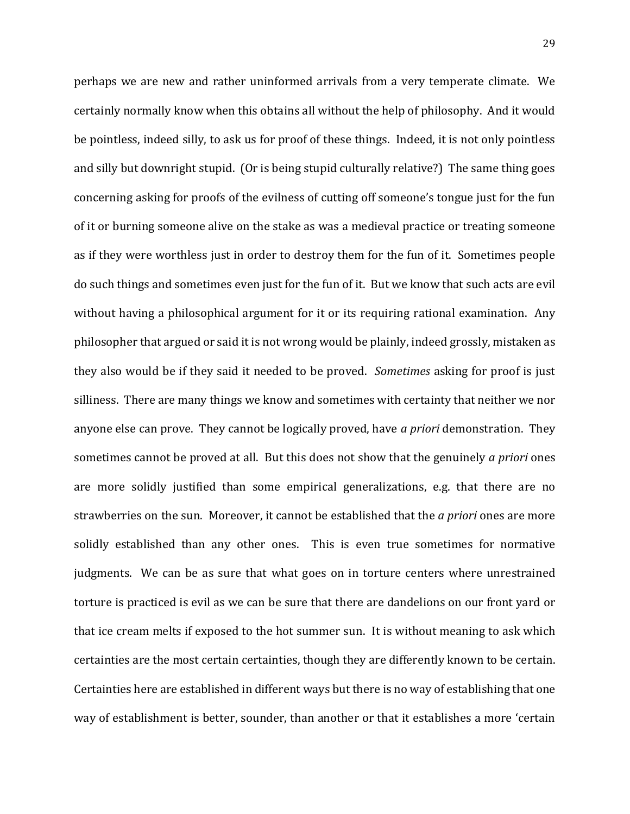perhaps we are new and rather uninformed arrivals from a very temperate climate. We certainly normally know when this obtains all without the help of philosophy. And it would be pointless, indeed silly, to ask us for proof of these things. Indeed, it is not only pointless and silly but downright stupid. (Or is being stupid culturally relative?) The same thing goes concerning asking for proofs of the evilness of cutting off someone's tongue just for the fun of it or burning someone alive on the stake as was a medieval practice or treating someone as if they were worthless just in order to destroy them for the fun of it. Sometimes people do such things and sometimes even just for the fun of it. But we know that such acts are evil without having a philosophical argument for it or its requiring rational examination. Any philosopher that argued or said it is not wrong would be plainly, indeed grossly, mistaken as they also would be if they said it needed to be proved. *Sometimes* asking for proof is just silliness. There are many things we know and sometimes with certainty that neither we nor anyone else can prove. They cannot be logically proved, have *a priori* demonstration. They sometimes cannot be proved at all. But this does not show that the genuinely *a priori* ones are more solidly justified than some empirical generalizations, e.g. that there are no strawberries on the sun. Moreover, it cannot be established that the *a priori* ones are more solidly established than any other ones. This is even true sometimes for normative judgments. We can be as sure that what goes on in torture centers where unrestrained torture is practiced is evil as we can be sure that there are dandelions on our front yard or that ice cream melts if exposed to the hot summer sun. It is without meaning to ask which certainties are the most certain certainties, though they are differently known to be certain. Certainties here are established in different ways but there is no way of establishing that one way of establishment is better, sounder, than another or that it establishes a more 'certain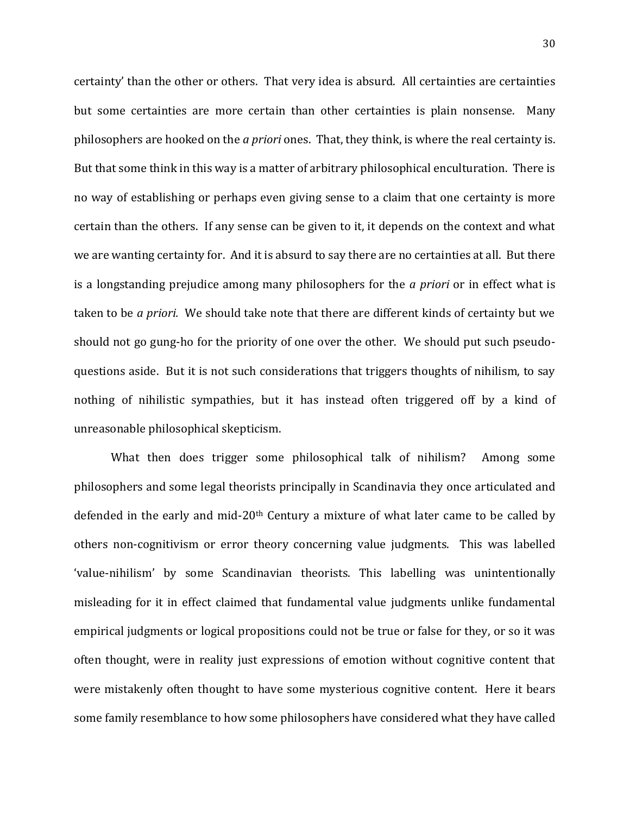certainty' than the other or others. That very idea is absurd. All certainties are certainties but some certainties are more certain than other certainties is plain nonsense. Many philosophers are hooked on the *a priori* ones. That, they think, is where the real certainty is. But that some think in this way is a matter of arbitrary philosophical enculturation. There is no way of establishing or perhaps even giving sense to a claim that one certainty is more certain than the others. If any sense can be given to it, it depends on the context and what we are wanting certainty for. And it is absurd to say there are no certainties at all. But there is a longstanding prejudice among many philosophers for the *a priori* or in effect what is taken to be *a priori.* We should take note that there are different kinds of certainty but we should not go gung-ho for the priority of one over the other. We should put such pseudoquestions aside. But it is not such considerations that triggers thoughts of nihilism, to say nothing of nihilistic sympathies, but it has instead often triggered off by a kind of unreasonable philosophical skepticism.

What then does trigger some philosophical talk of nihilism? Among some philosophers and some legal theorists principally in Scandinavia they once articulated and defended in the early and mid-20<sup>th</sup> Century a mixture of what later came to be called by others non-cognitivism or error theory concerning value judgments. This was labelled 'value-nihilism' by some Scandinavian theorists. This labelling was unintentionally misleading for it in effect claimed that fundamental value judgments unlike fundamental empirical judgments or logical propositions could not be true or false for they, or so it was often thought, were in reality just expressions of emotion without cognitive content that were mistakenly often thought to have some mysterious cognitive content. Here it bears some family resemblance to how some philosophers have considered what they have called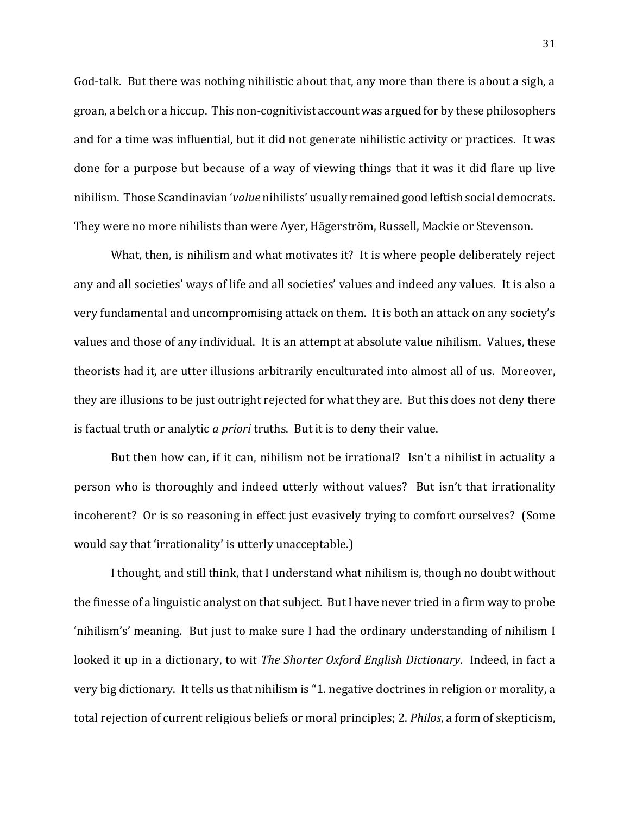God-talk. But there was nothing nihilistic about that, any more than there is about a sigh, a groan, a belch or a hiccup. This non-cognitivist account was argued for by these philosophers and for a time was influential, but it did not generate nihilistic activity or practices. It was done for a purpose but because of a way of viewing things that it was it did flare up live nihilism. Those Scandinavian '*value* nihilists' usually remained good leftish social democrats. They were no more nihilists than were Ayer, Hägerström, Russell, Mackie or Stevenson.

What, then, is nihilism and what motivates it? It is where people deliberately reject any and all societies' ways of life and all societies' values and indeed any values. It is also a very fundamental and uncompromising attack on them. It is both an attack on any society's values and those of any individual. It is an attempt at absolute value nihilism. Values, these theorists had it, are utter illusions arbitrarily enculturated into almost all of us. Moreover, they are illusions to be just outright rejected for what they are. But this does not deny there is factual truth or analytic *a priori* truths. But it is to deny their value.

But then how can, if it can, nihilism not be irrational? Isn't a nihilist in actuality a person who is thoroughly and indeed utterly without values? But isn't that irrationality incoherent? Or is so reasoning in effect just evasively trying to comfort ourselves? (Some would say that 'irrationality' is utterly unacceptable.)

I thought, and still think, that I understand what nihilism is, though no doubt without the finesse of a linguistic analyst on that subject. But I have never tried in a firm way to probe 'nihilism's' meaning. But just to make sure I had the ordinary understanding of nihilism I looked it up in a dictionary, to wit *The Shorter Oxford English Dictionary*. Indeed, in fact a very big dictionary. It tells us that nihilism is "1. negative doctrines in religion or morality, a total rejection of current religious beliefs or moral principles; 2. *Philos*, a form of skepticism,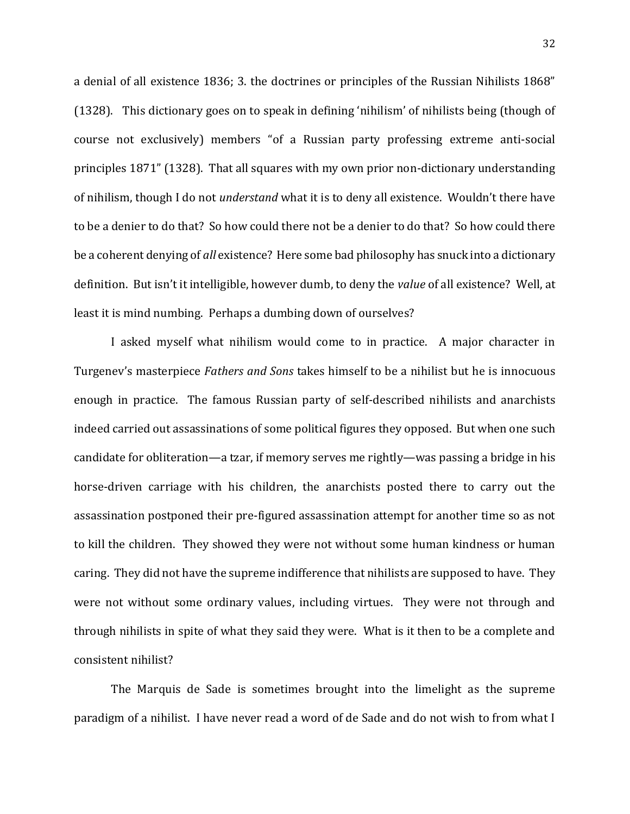a denial of all existence 1836; 3. the doctrines or principles of the Russian Nihilists 1868" (1328). This dictionary goes on to speak in defining 'nihilism' of nihilists being (though of course not exclusively) members "of a Russian party professing extreme anti-social principles 1871" (1328). That all squares with my own prior non-dictionary understanding of nihilism, though I do not *understand* what it is to deny all existence. Wouldn't there have to be a denier to do that? So how could there not be a denier to do that? So how could there be a coherent denying of *all* existence? Here some bad philosophy has snuck into a dictionary definition. But isn't it intelligible, however dumb, to deny the *value* of all existence? Well, at least it is mind numbing. Perhaps a dumbing down of ourselves?

I asked myself what nihilism would come to in practice. A major character in Turgenev's masterpiece *Fathers and Sons* takes himself to be a nihilist but he is innocuous enough in practice. The famous Russian party of self-described nihilists and anarchists indeed carried out assassinations of some political figures they opposed. But when one such candidate for obliteration—a tzar, if memory serves me rightly—was passing a bridge in his horse-driven carriage with his children, the anarchists posted there to carry out the assassination postponed their pre-figured assassination attempt for another time so as not to kill the children. They showed they were not without some human kindness or human caring. They did not have the supreme indifference that nihilists are supposed to have. They were not without some ordinary values, including virtues. They were not through and through nihilists in spite of what they said they were. What is it then to be a complete and consistent nihilist?

The Marquis de Sade is sometimes brought into the limelight as the supreme paradigm of a nihilist. I have never read a word of de Sade and do not wish to from what I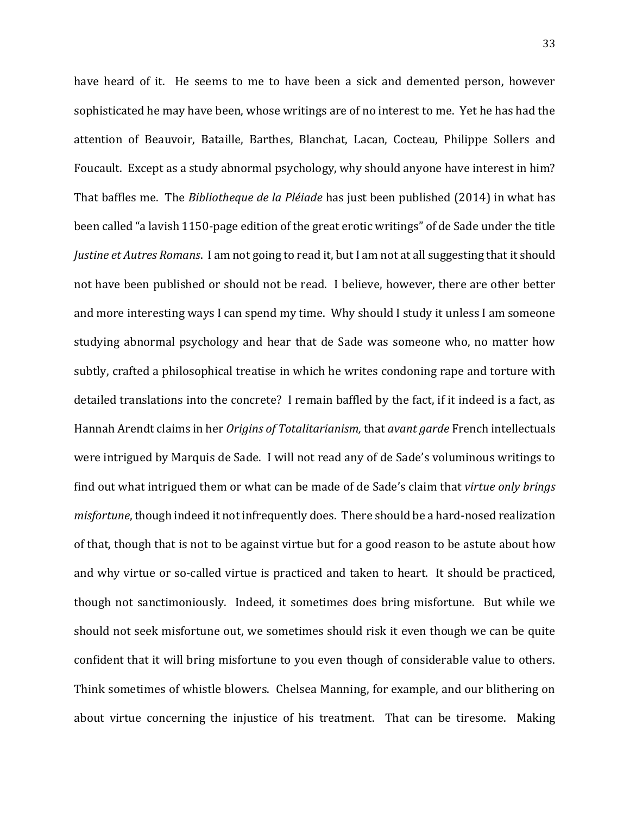have heard of it. He seems to me to have been a sick and demented person, however sophisticated he may have been, whose writings are of no interest to me. Yet he has had the attention of Beauvoir, Bataille, Barthes, Blanchat, Lacan, Cocteau, Philippe Sollers and Foucault. Except as a study abnormal psychology, why should anyone have interest in him? That baffles me. The *Bibliotheque de la Pléiade* has just been published (2014) in what has been called "a lavish 1150-page edition of the great erotic writings" of de Sade under the title *Justine et Autres Romans*. I am not going to read it, but I am not at all suggesting that it should not have been published or should not be read. I believe, however, there are other better and more interesting ways I can spend my time. Why should I study it unless I am someone studying abnormal psychology and hear that de Sade was someone who, no matter how subtly, crafted a philosophical treatise in which he writes condoning rape and torture with detailed translations into the concrete? I remain baffled by the fact, if it indeed is a fact, as Hannah Arendt claims in her *Origins of Totalitarianism,* that *avant garde* French intellectuals were intrigued by Marquis de Sade. I will not read any of de Sade's voluminous writings to find out what intrigued them or what can be made of de Sade's claim that *virtue only brings misfortune*, though indeed it not infrequently does. There should be a hard-nosed realization of that, though that is not to be against virtue but for a good reason to be astute about how and why virtue or so-called virtue is practiced and taken to heart. It should be practiced, though not sanctimoniously. Indeed, it sometimes does bring misfortune. But while we should not seek misfortune out, we sometimes should risk it even though we can be quite confident that it will bring misfortune to you even though of considerable value to others. Think sometimes of whistle blowers. Chelsea Manning, for example, and our blithering on about virtue concerning the injustice of his treatment. That can be tiresome. Making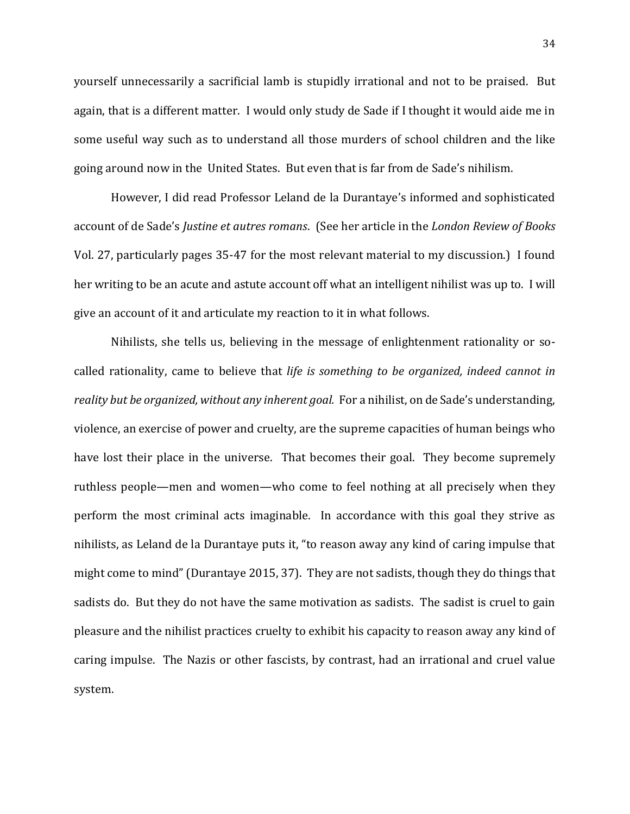yourself unnecessarily a sacrificial lamb is stupidly irrational and not to be praised. But again, that is a different matter. I would only study de Sade if I thought it would aide me in some useful way such as to understand all those murders of school children and the like going around now in the United States. But even that is far from de Sade's nihilism.

However, I did read Professor Leland de la Durantaye's informed and sophisticated account of de Sade's *Justine et autres romans*. (See her article in the *London Review of Books* Vol. 27, particularly pages 35-47 for the most relevant material to my discussion.) I found her writing to be an acute and astute account off what an intelligent nihilist was up to. I will give an account of it and articulate my reaction to it in what follows.

Nihilists, she tells us, believing in the message of enlightenment rationality or socalled rationality, came to believe that *life is something to be organized, indeed cannot in reality but be organized, without any inherent goal.* For a nihilist, on de Sade's understanding, violence, an exercise of power and cruelty, are the supreme capacities of human beings who have lost their place in the universe. That becomes their goal. They become supremely ruthless people—men and women—who come to feel nothing at all precisely when they perform the most criminal acts imaginable. In accordance with this goal they strive as nihilists, as Leland de la Durantaye puts it, "to reason away any kind of caring impulse that might come to mind" (Durantaye 2015, 37). They are not sadists, though they do things that sadists do. But they do not have the same motivation as sadists. The sadist is cruel to gain pleasure and the nihilist practices cruelty to exhibit his capacity to reason away any kind of caring impulse. The Nazis or other fascists, by contrast, had an irrational and cruel value system.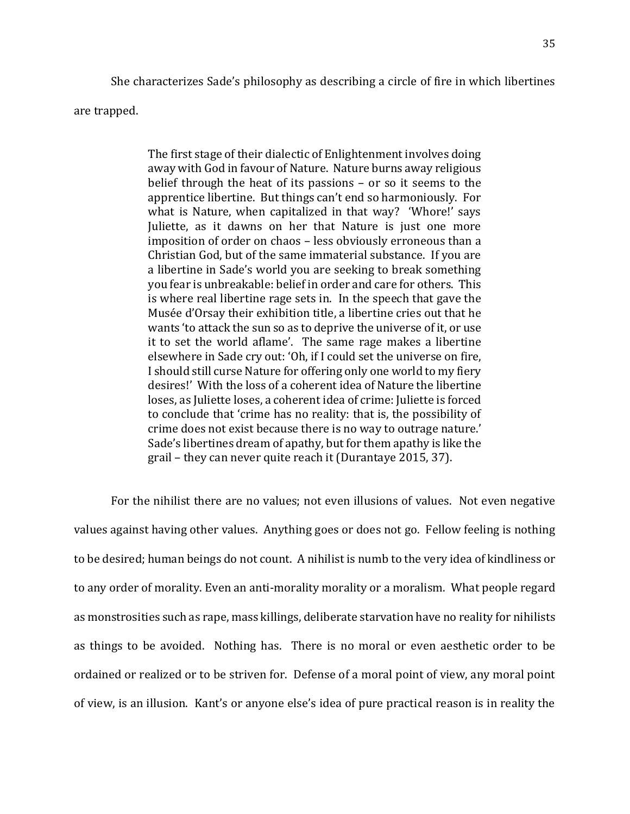She characterizes Sade's philosophy as describing a circle of fire in which libertines are trapped.

> The first stage of their dialectic of Enlightenment involves doing away with God in favour of Nature. Nature burns away religious belief through the heat of its passions – or so it seems to the apprentice libertine. But things can't end so harmoniously. For what is Nature, when capitalized in that way? 'Whore!' says Juliette, as it dawns on her that Nature is just one more imposition of order on chaos – less obviously erroneous than a Christian God, but of the same immaterial substance. If you are a libertine in Sade's world you are seeking to break something you fear is unbreakable: belief in order and care for others. This is where real libertine rage sets in. In the speech that gave the Musée d'Orsay their exhibition title, a libertine cries out that he wants 'to attack the sun so as to deprive the universe of it, or use it to set the world aflame'. The same rage makes a libertine elsewhere in Sade cry out: 'Oh, if I could set the universe on fire, I should still curse Nature for offering only one world to my fiery desires!' With the loss of a coherent idea of Nature the libertine loses, as Juliette loses, a coherent idea of crime: Juliette is forced to conclude that 'crime has no reality: that is, the possibility of crime does not exist because there is no way to outrage nature.' Sade's libertines dream of apathy, but for them apathy is like the grail – they can never quite reach it (Durantaye 2015, 37).

For the nihilist there are no values; not even illusions of values. Not even negative values against having other values. Anything goes or does not go. Fellow feeling is nothing to be desired; human beings do not count. A nihilist is numb to the very idea of kindliness or to any order of morality. Even an anti-morality morality or a moralism. What people regard as monstrosities such as rape, mass killings, deliberate starvation have no reality for nihilists as things to be avoided. Nothing has. There is no moral or even aesthetic order to be ordained or realized or to be striven for. Defense of a moral point of view, any moral point of view, is an illusion. Kant's or anyone else's idea of pure practical reason is in reality the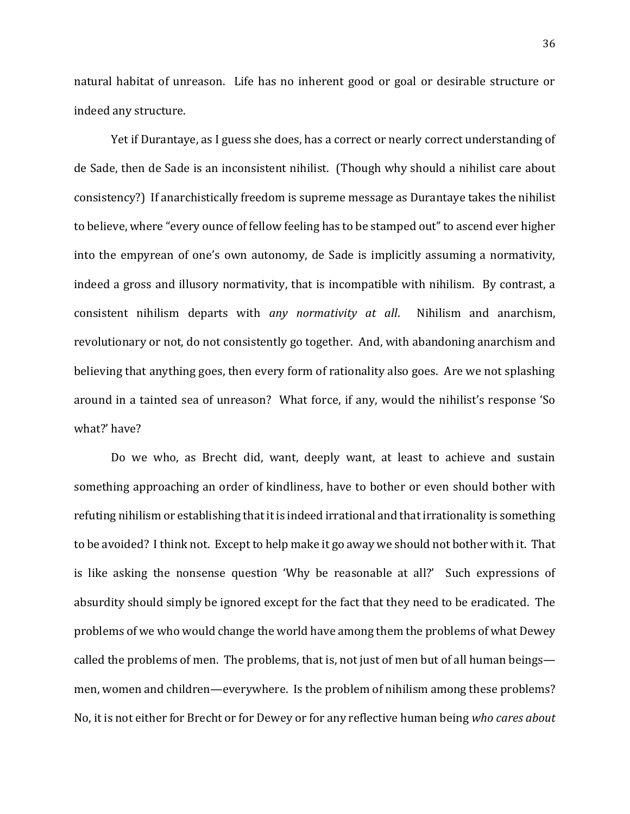natural habitat of unreason. Life has no inherent good or goal or desirable structure or indeed any structure.

Yet if Durantaye, as I guess she does, has a correct or nearly correct understanding of de Sade, then de Sade is an inconsistent nihilist. (Though why should a nihilist care about consistency?) If anarchistically freedom is supreme message as Durantaye takes the nihilist to believe, where "every ounce of fellow feeling has to be stamped out" to ascend ever higher into the empyrean of one's own autonomy, de Sade is implicitly assuming a normativity, indeed a gross and illusory normativity, that is incompatible with nihilism. By contrast, a consistent nihilism departs with *any normativity at all*. Nihilism and anarchism, revolutionary or not, do not consistently go together. And, with abandoning anarchism and believing that anything goes, then every form of rationality also goes. Are we not splashing around in a tainted sea of unreason? What force, if any, would the nihilist's response 'So what?' have?

Do we who, as Brecht did, want, deeply want, at least to achieve and sustain something approaching an order of kindliness, have to bother or even should bother with refuting nihilism or establishing that it is indeed irrational and that irrationality is something to be avoided? I think not. Except to help make it go away we should not bother with it. That is like asking the nonsense question 'Why be reasonable at all?' Such expressions of absurdity should simply be ignored except for the fact that they need to be eradicated. The problems of we who would change the world have among them the problems of what Dewey called the problems of men. The problems, that is, not just of men but of all human beings men, women and children—everywhere. Is the problem of nihilism among these problems? No, it is not either for Brecht or for Dewey or for any reflective human being *who cares about*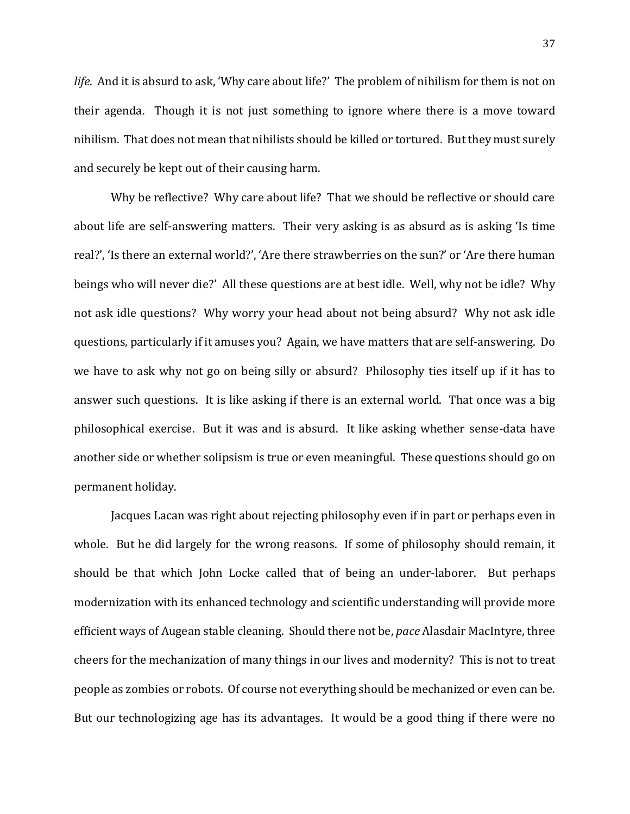*life*. And it is absurd to ask, 'Why care about life?' The problem of nihilism for them is not on their agenda. Though it is not just something to ignore where there is a move toward nihilism. That does not mean that nihilists should be killed or tortured. But they must surely and securely be kept out of their causing harm.

Why be reflective? Why care about life? That we should be reflective or should care about life are self-answering matters. Their very asking is as absurd as is asking 'Is time real?', 'Is there an external world?', 'Are there strawberries on the sun?' or 'Are there human beings who will never die?' All these questions are at best idle. Well, why not be idle? Why not ask idle questions? Why worry your head about not being absurd? Why not ask idle questions, particularly if it amuses you? Again, we have matters that are self-answering. Do we have to ask why not go on being silly or absurd? Philosophy ties itself up if it has to answer such questions. It is like asking if there is an external world. That once was a big philosophical exercise. But it was and is absurd. It like asking whether sense-data have another side or whether solipsism is true or even meaningful. These questions should go on permanent holiday.

Jacques Lacan was right about rejecting philosophy even if in part or perhaps even in whole. But he did largely for the wrong reasons. If some of philosophy should remain, it should be that which John Locke called that of being an under-laborer. But perhaps modernization with its enhanced technology and scientific understanding will provide more efficient ways of Augean stable cleaning. Should there not be, *pace* Alasdair MacIntyre, three cheers for the mechanization of many things in our lives and modernity? This is not to treat people as zombies or robots. Of course not everything should be mechanized or even can be. But our technologizing age has its advantages. It would be a good thing if there were no